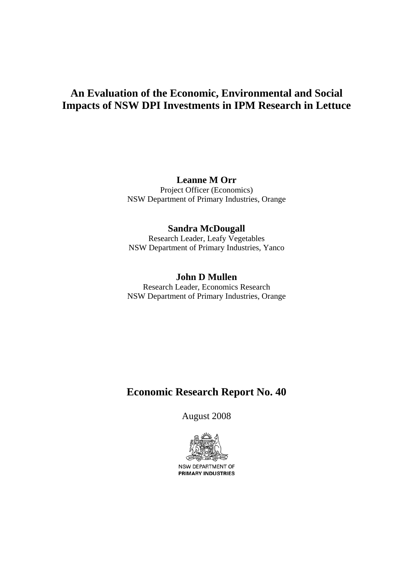# **An Evaluation of the Economic, Environmental and Social Impacts of NSW DPI Investments in IPM Research in Lettuce**

## **Leanne M Orr**

Project Officer (Economics) NSW Department of Primary Industries, Orange

# **Sandra McDougall**

Research Leader, Leafy Vegetables NSW Department of Primary Industries, Yanco

## **John D Mullen**

Research Leader, Economics Research NSW Department of Primary Industries, Orange

# **Economic Research Report No. 40**

August 2008



NSW DEPARTMENT OF PRIMARY INDUSTRIES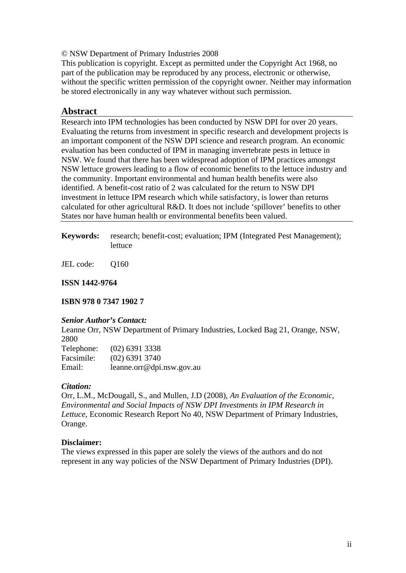#### <span id="page-1-0"></span>© NSW Department of Primary Industries 2008

This publication is copyright. Except as permitted under the Copyright Act 1968, no part of the publication may be reproduced by any process, electronic or otherwise, without the specific written permission of the copyright owner. Neither may information be stored electronically in any way whatever without such permission.

## **Abstract**

Research into IPM technologies has been conducted by NSW DPI for over 20 years. Evaluating the returns from investment in specific research and development projects is an important component of the NSW DPI science and research program. An economic evaluation has been conducted of IPM in managing invertebrate pests in lettuce in NSW. We found that there has been widespread adoption of IPM practices amongst NSW lettuce growers leading to a flow of economic benefits to the lettuce industry and the community. Important environmental and human health benefits were also identified. A benefit-cost ratio of 2 was calculated for the return to NSW DPI investment in lettuce IPM research which while satisfactory, is lower than returns calculated for other agricultural R&D. It does not include 'spillover' benefits to other States nor have human health or environmental benefits been valued.

**Keywords:** research; benefit-cost; evaluation; IPM (Integrated Pest Management); lettuce

JEL code: Q160

**ISSN 1442-9764** 

**ISBN 978 0 7347 1902 7** 

### *Senior Author's Contact:*

Leanne Orr, NSW Department of Primary Industries, Locked Bag 21, Orange, NSW, 2800  $(92)$   $(93)$   $(333)$ 

| Telephone: | $(02)$ 6391 3338          |
|------------|---------------------------|
| Facsimile: | $(02)$ 6391 3740          |
| Email:     | leanne.orr@dpi.nsw.gov.au |

### *Citation:*

Orr, L.M., McDougall, S., and Mullen, J.D (2008), *An Evaluation of the Economic, Environmental and Social Impacts of NSW DPI Investments in IPM Research in Lettuce*, Economic Research Report No 40, NSW Department of Primary Industries, Orange.

### **Disclaimer:**

The views expressed in this paper are solely the views of the authors and do not represent in any way policies of the NSW Department of Primary Industries (DPI).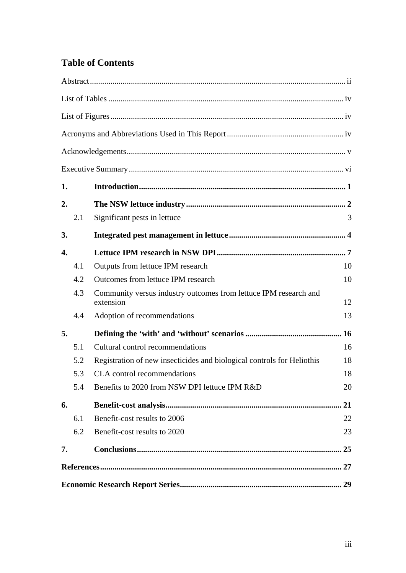# **Table of Contents**

| 1. |     |                                                                               |    |
|----|-----|-------------------------------------------------------------------------------|----|
| 2. |     |                                                                               |    |
|    | 2.1 | Significant pests in lettuce                                                  | 3  |
| 3. |     |                                                                               |    |
| 4. |     |                                                                               |    |
|    | 4.1 | Outputs from lettuce IPM research                                             | 10 |
|    | 4.2 | Outcomes from lettuce IPM research                                            | 10 |
|    | 4.3 | Community versus industry outcomes from lettuce IPM research and<br>extension | 12 |
|    | 4.4 | Adoption of recommendations                                                   | 13 |
| 5. |     |                                                                               |    |
|    | 5.1 | Cultural control recommendations                                              | 16 |
|    | 5.2 | Registration of new insecticides and biological controls for Heliothis        | 18 |
|    | 5.3 | <b>CLA</b> control recommendations                                            | 18 |
|    | 5.4 | Benefits to 2020 from NSW DPI lettuce IPM R&D                                 | 20 |
| 6. |     |                                                                               | 21 |
|    | 6.1 | Benefit-cost results to 2006                                                  | 22 |
|    | 6.2 | Benefit-cost results to 2020                                                  | 23 |
| 7. |     |                                                                               | 25 |
|    |     |                                                                               |    |
|    |     |                                                                               |    |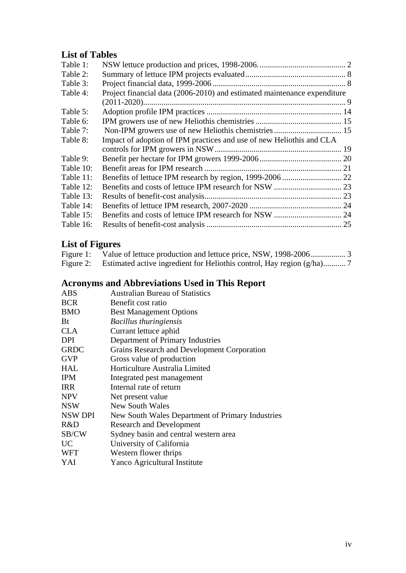# <span id="page-3-0"></span>**List of Tables**

| Table 1:  |                                                                          |  |
|-----------|--------------------------------------------------------------------------|--|
| Table 2:  |                                                                          |  |
| Table 3:  |                                                                          |  |
| Table 4:  | Project financial data (2006-2010) and estimated maintenance expenditure |  |
|           |                                                                          |  |
| Table 5:  |                                                                          |  |
| Table 6:  |                                                                          |  |
| Table 7:  |                                                                          |  |
| Table 8:  | Impact of adoption of IPM practices and use of new Heliothis and CLA     |  |
|           |                                                                          |  |
| Table 9:  |                                                                          |  |
| Table 10: |                                                                          |  |
| Table 11: |                                                                          |  |
| Table 12: |                                                                          |  |
| Table 13: |                                                                          |  |
| Table 14: |                                                                          |  |
| Table 15: |                                                                          |  |
| Table 16: |                                                                          |  |
|           |                                                                          |  |

# **List of Figures**

| Figure 1: |  |
|-----------|--|
|           |  |

# **Acronyms and Abbreviations Used in This Report**

| ABS         | <b>Australian Bureau of Statistics</b>           |
|-------------|--------------------------------------------------|
| <b>BCR</b>  | Benefit cost ratio                               |
| BMO         | <b>Best Management Options</b>                   |
| Bt          | <b>Bacillus thuringiensis</b>                    |
| CLA         | Currant lettuce aphid                            |
| DPI         | Department of Primary Industries                 |
| <b>GRDC</b> | Grains Research and Development Corporation      |
| GVP         | Gross value of production                        |
| HAL         | Horticulture Australia Limited                   |
| IPM         | Integrated pest management                       |
| IRR         | Internal rate of return                          |
| NPV         | Net present value                                |
| NSW         | New South Wales                                  |
| NSW DPI     | New South Wales Department of Primary Industries |
| R&D         | <b>Research and Development</b>                  |
| SB/CW       | Sydney basin and central western area            |
| UC          | University of California                         |
| WFT         | Western flower thrips                            |
| YAI         | Yanco Agricultural Institute                     |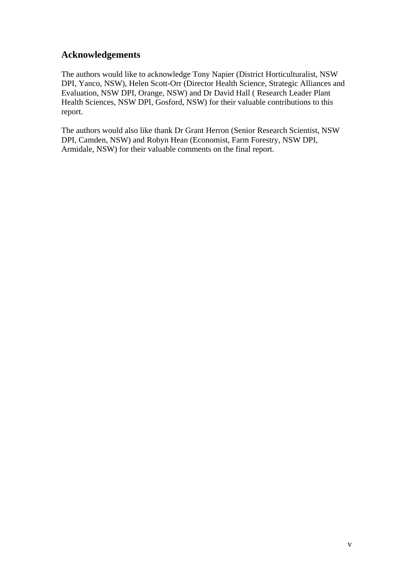# <span id="page-4-0"></span>**Acknowledgements**

The authors would like to acknowledge Tony Napier (District Horticulturalist, NSW DPI, Yanco, NSW), Helen Scott-Orr (Director Health Science, Strategic Alliances and Evaluation, NSW DPI, Orange, NSW) and Dr David Hall ( Research Leader Plant Health Sciences, NSW DPI, Gosford, NSW) for their valuable contributions to this report.

The authors would also like thank Dr Grant Herron (Senior Research Scientist, NSW DPI, Camden, NSW) and Robyn Hean (Economist, Farm Forestry, NSW DPI, Armidale, NSW) for their valuable comments on the final report.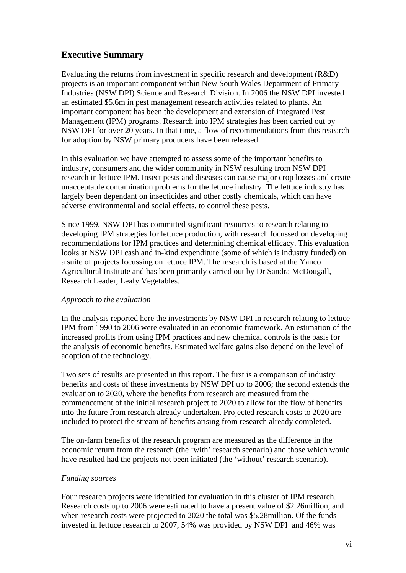# <span id="page-5-0"></span>**Executive Summary**

Evaluating the returns from investment in specific research and development (R&D) projects is an important component within New South Wales Department of Primary Industries (NSW DPI) Science and Research Division. In 2006 the NSW DPI invested an estimated \$5.6m in pest management research activities related to plants. An important component has been the development and extension of Integrated Pest Management (IPM) programs. Research into IPM strategies has been carried out by NSW DPI for over 20 years. In that time, a flow of recommendations from this research for adoption by NSW primary producers have been released.

In this evaluation we have attempted to assess some of the important benefits to industry, consumers and the wider community in NSW resulting from NSW DPI research in lettuce IPM. Insect pests and diseases can cause major crop losses and create unacceptable contamination problems for the lettuce industry. The lettuce industry has largely been dependant on insecticides and other costly chemicals, which can have adverse environmental and social effects, to control these pests.

Since 1999, NSW DPI has committed significant resources to research relating to developing IPM strategies for lettuce production, with research focussed on developing recommendations for IPM practices and determining chemical efficacy. This evaluation looks at NSW DPI cash and in-kind expenditure (some of which is industry funded) on a suite of projects focussing on lettuce IPM. The research is based at the Yanco Agricultural Institute and has been primarily carried out by Dr Sandra McDougall, Research Leader, Leafy Vegetables.

### *Approach to the evaluation*

In the analysis reported here the investments by NSW DPI in research relating to lettuce IPM from 1990 to 2006 were evaluated in an economic framework. An estimation of the increased profits from using IPM practices and new chemical controls is the basis for the analysis of economic benefits. Estimated welfare gains also depend on the level of adoption of the technology.

Two sets of results are presented in this report. The first is a comparison of industry benefits and costs of these investments by NSW DPI up to 2006; the second extends the evaluation to 2020, where the benefits from research are measured from the commencement of the initial research project to 2020 to allow for the flow of benefits into the future from research already undertaken. Projected research costs to 2020 are included to protect the stream of benefits arising from research already completed.

The on-farm benefits of the research program are measured as the difference in the economic return from the research (the 'with' research scenario) and those which would have resulted had the projects not been initiated (the 'without' research scenario).

### *Funding sources*

Four research projects were identified for evaluation in this cluster of IPM research. Research costs up to 2006 were estimated to have a present value of \$2.26million, and when research costs were projected to 2020 the total was \$5.28million. Of the funds invested in lettuce research to 2007, 54% was provided by NSW DPI and 46% was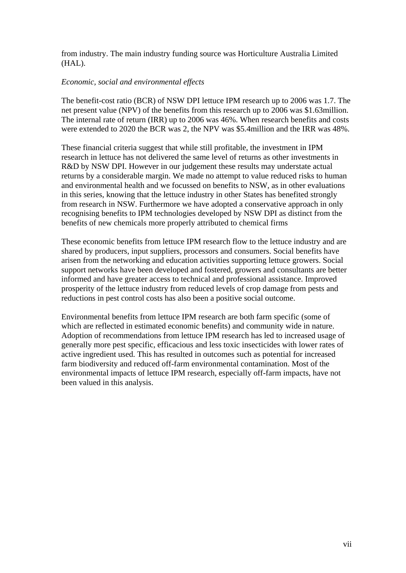from industry. The main industry funding source was Horticulture Australia Limited (HAL).

#### *Economic, social and environmental effects*

The benefit-cost ratio (BCR) of NSW DPI lettuce IPM research up to 2006 was 1.7. The net present value (NPV) of the benefits from this research up to 2006 was \$1.63million. The internal rate of return (IRR) up to 2006 was 46%. When research benefits and costs were extended to 2020 the BCR was 2, the NPV was \$5.4million and the IRR was 48%.

These financial criteria suggest that while still profitable, the investment in IPM research in lettuce has not delivered the same level of returns as other investments in R&D by NSW DPI. However in our judgement these results may understate actual returns by a considerable margin. We made no attempt to value reduced risks to human and environmental health and we focussed on benefits to NSW, as in other evaluations in this series, knowing that the lettuce industry in other States has benefited strongly from research in NSW. Furthermore we have adopted a conservative approach in only recognising benefits to IPM technologies developed by NSW DPI as distinct from the benefits of new chemicals more properly attributed to chemical firms

These economic benefits from lettuce IPM research flow to the lettuce industry and are shared by producers, input suppliers, processors and consumers. Social benefits have arisen from the networking and education activities supporting lettuce growers. Social support networks have been developed and fostered, growers and consultants are better informed and have greater access to technical and professional assistance. Improved prosperity of the lettuce industry from reduced levels of crop damage from pests and reductions in pest control costs has also been a positive social outcome.

Environmental benefits from lettuce IPM research are both farm specific (some of which are reflected in estimated economic benefits) and community wide in nature. Adoption of recommendations from lettuce IPM research has led to increased usage of generally more pest specific, efficacious and less toxic insecticides with lower rates of active ingredient used. This has resulted in outcomes such as potential for increased farm biodiversity and reduced off-farm environmental contamination. Most of the environmental impacts of lettuce IPM research, especially off-farm impacts, have not been valued in this analysis.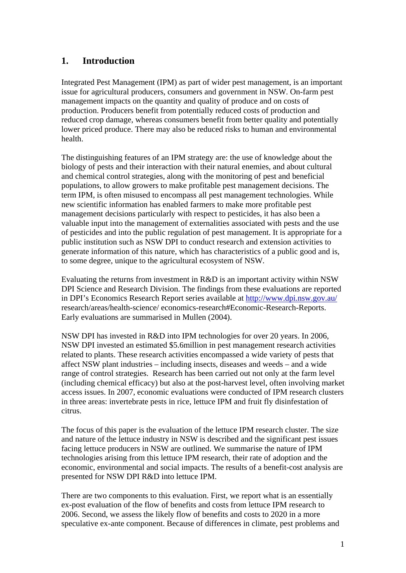# <span id="page-7-0"></span>**1. Introduction**

Integrated Pest Management (IPM) as part of wider pest management, is an important issue for agricultural producers, consumers and government in NSW. On-farm pest management impacts on the quantity and quality of produce and on costs of production. Producers benefit from potentially reduced costs of production and reduced crop damage, whereas consumers benefit from better quality and potentially lower priced produce. There may also be reduced risks to human and environmental health.

The distinguishing features of an IPM strategy are: the use of knowledge about the biology of pests and their interaction with their natural enemies, and about cultural and chemical control strategies, along with the monitoring of pest and beneficial populations, to allow growers to make profitable pest management decisions. The term IPM, is often misused to encompass all pest management technologies. While new scientific information has enabled farmers to make more profitable pest management decisions particularly with respect to pesticides, it has also been a valuable input into the management of externalities associated with pests and the use of pesticides and into the public regulation of pest management. It is appropriate for a public institution such as NSW DPI to conduct research and extension activities to generate information of this nature, which has characteristics of a public good and is, to some degree, unique to the agricultural ecosystem of NSW.

Evaluating the returns from investment in R&D is an important activity within NSW DPI Science and Research Division. The findings from these evaluations are reported in DPI's Economics Research Report series available at <http://www.dpi.nsw.gov.au/> research/areas/health-science/ economics-research#Economic-Research-Reports. Early evaluations are summarised in Mullen (2004).

NSW DPI has invested in R&D into IPM technologies for over 20 years. In 2006, NSW DPI invested an estimated \$5.6million in pest management research activities related to plants. These research activities encompassed a wide variety of pests that affect NSW plant industries – including insects, diseases and weeds – and a wide range of control strategies. Research has been carried out not only at the farm level (including chemical efficacy) but also at the post-harvest level, often involving market access issues. In 2007, economic evaluations were conducted of IPM research clusters in three areas: invertebrate pests in rice, lettuce IPM and fruit fly disinfestation of citrus.

The focus of this paper is the evaluation of the lettuce IPM research cluster. The size and nature of the lettuce industry in NSW is described and the significant pest issues facing lettuce producers in NSW are outlined. We summarise the nature of IPM technologies arising from this lettuce IPM research, their rate of adoption and the economic, environmental and social impacts. The results of a benefit-cost analysis are presented for NSW DPI R&D into lettuce IPM.

There are two components to this evaluation. First, we report what is an essentially ex-post evaluation of the flow of benefits and costs from lettuce IPM research to 2006. Second, we assess the likely flow of benefits and costs to 2020 in a more speculative ex-ante component. Because of differences in climate, pest problems and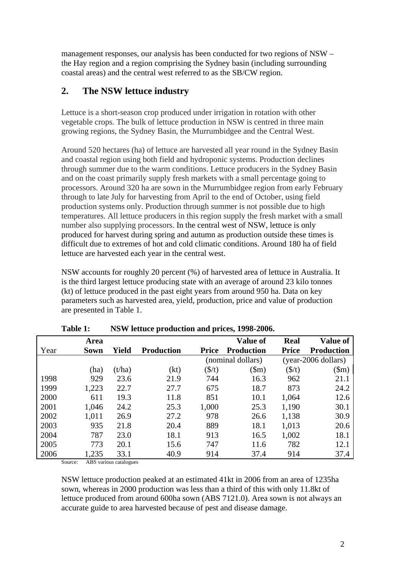<span id="page-8-0"></span>management responses, our analysis has been conducted for two regions of NSW – the Hay region and a region comprising the Sydney basin (including surrounding coastal areas) and the central west referred to as the SB/CW region.

# **2. The NSW lettuce industry**

Lettuce is a short-season crop produced under irrigation in rotation with other vegetable crops. The bulk of lettuce production in NSW is centred in three main growing regions, the Sydney Basin, the Murrumbidgee and the Central West.

Around 520 hectares (ha) of lettuce are harvested all year round in the Sydney Basin and coastal region using both field and hydroponic systems. Production declines through summer due to the warm conditions. Lettuce producers in the Sydney Basin and on the coast primarily supply fresh markets with a small percentage going to processors. Around 320 ha are sown in the Murrumbidgee region from early February through to late July for harvesting from April to the end of October, using field production systems only. Production through summer is not possible due to high temperatures. All lettuce producers in this region supply the fresh market with a small number also supplying processors. In the central west of NSW, lettuce is only produced for harvest during spring and autumn as production outside these times is difficult due to extremes of hot and cold climatic conditions. Around 180 ha of field lettuce are harvested each year in the central west.

NSW accounts for roughly 20 percent (%) of harvested area of lettuce in Australia. It is the third largest lettuce producing state with an average of around 23 kilo tonnes (kt) of lettuce produced in the past eight years from around 950 ha. Data on key parameters such as harvested area, yield, production, price and value of production are presented in Table 1.

|      | Area  |        |                   |              | <b>Value of</b>   | <b>Real</b>       | <b>Value of</b>       |
|------|-------|--------|-------------------|--------------|-------------------|-------------------|-----------------------|
| Year | Sown  | Yield  | <b>Production</b> | <b>Price</b> | <b>Production</b> | <b>Price</b>      | <b>Production</b>     |
|      |       |        |                   |              | (nominal dollars) |                   | $(year-2006$ dollars) |
|      | (ha)  | (t/ha) | (kt)              | (\$/t)       | \$m)              | $(\frac{\xi}{t})$ | $(\text{Sm})$         |
| 1998 | 929   | 23.6   | 21.9              | 744          | 16.3              | 962               | 21.1                  |
| 1999 | 1,223 | 22.7   | 27.7              | 675          | 18.7              | 873               | 24.2                  |
| 2000 | 611   | 19.3   | 11.8              | 851          | 10.1              | 1,064             | 12.6                  |
| 2001 | 1,046 | 24.2   | 25.3              | 1,000        | 25.3              | 1,190             | 30.1                  |
| 2002 | 1,011 | 26.9   | 27.2              | 978          | 26.6              | 1,138             | 30.9                  |
| 2003 | 935   | 21.8   | 20.4              | 889          | 18.1              | 1,013             | 20.6                  |
| 2004 | 787   | 23.0   | 18.1              | 913          | 16.5              | 1,002             | 18.1                  |
| 2005 | 773   | 20.1   | 15.6              | 747          | 11.6              | 782               | 12.1                  |
| 2006 | 1,235 | 33.1   | 40.9              | 914          | 37.4              | 914               | 37.4                  |

**Table 1: NSW lettuce production and prices, 1998-2006.** 

Source: ABS various catalogues

NSW lettuce production peaked at an estimated 41kt in 2006 from an area of 1235ha sown, whereas in 2000 production was less than a third of this with only 11.8kt of lettuce produced from around 600ha sown (ABS 7121.0). Area sown is not always an accurate guide to area harvested because of pest and disease damage.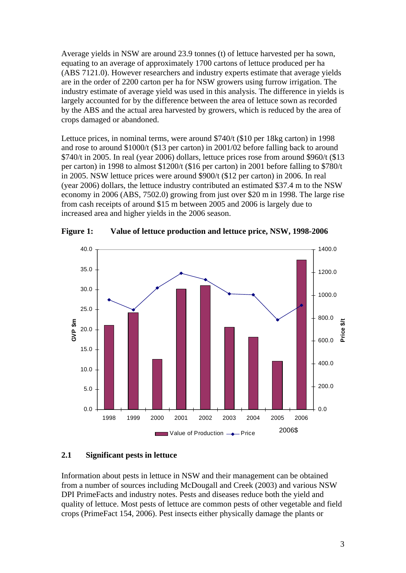<span id="page-9-0"></span>Average yields in NSW are around 23.9 tonnes (t) of lettuce harvested per ha sown, equating to an average of approximately 1700 cartons of lettuce produced per ha (ABS 7121.0). However researchers and industry experts estimate that average yields are in the order of 2200 carton per ha for NSW growers using furrow irrigation. The industry estimate of average yield was used in this analysis. The difference in yields is largely accounted for by the difference between the area of lettuce sown as recorded by the ABS and the actual area harvested by growers, which is reduced by the area of crops damaged or abandoned.

Lettuce prices, in nominal terms, were around \$740/t (\$10 per 18kg carton) in 1998 and rose to around \$1000/t (\$13 per carton) in 2001/02 before falling back to around \$740/t in 2005. In real (year 2006) dollars, lettuce prices rose from around \$960/t (\$13 per carton) in 1998 to almost \$1200/t (\$16 per carton) in 2001 before falling to \$780/t in 2005. NSW lettuce prices were around \$900/t (\$12 per carton) in 2006. In real (year 2006) dollars, the lettuce industry contributed an estimated \$37.4 m to the NSW economy in 2006 (ABS, 7502.0) growing from just over \$20 m in 1998. The large rise from cash receipts of around \$15 m between 2005 and 2006 is largely due to increased area and higher yields in the 2006 season.



**Figure 1: Value of lettuce production and lettuce price, NSW, 1998-2006** 

#### **2.1 Significant pests in lettuce**

Information about pests in lettuce in NSW and their management can be obtained from a number of sources including McDougall and Creek (2003) and various NSW DPI PrimeFacts and industry notes. Pests and diseases reduce both the yield and quality of lettuce. Most pests of lettuce are common pests of other vegetable and field crops (PrimeFact 154, 2006). Pest insects either physically damage the plants or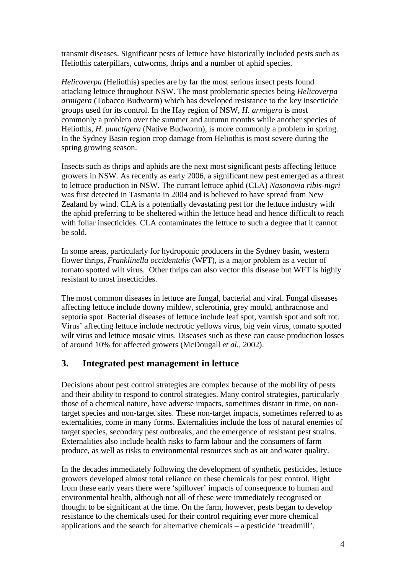<span id="page-10-0"></span>transmit diseases. Significant pests of lettuce have historically included pests such as Heliothis caterpillars, cutworms, thrips and a number of aphid species.

*Helicoverpa* (Heliothis) species are by far the most serious insect pests found attacking lettuce throughout NSW. The most problematic species being *Helicoverpa armigera* (Tobacco Budworm) which has developed resistance to the key insecticide groups used for its control. In the Hay region of NSW, *H. armigera* is most commonly a problem over the summer and autumn months while another species of Heliothis, *H. punctigera* (Native Budworm), is more commonly a problem in spring. In the Sydney Basin region crop damage from Heliothis is most severe during the spring growing season.

Insects such as thrips and aphids are the next most significant pests affecting lettuce growers in NSW. As recently as early 2006, a significant new pest emerged as a threat to lettuce production in NSW. The currant lettuce aphid (CLA) *Nasonovia ribis-nigri* was first detected in Tasmania in 2004 and is believed to have spread from New Zealand by wind. CLA is a potentially devastating pest for the lettuce industry with the aphid preferring to be sheltered within the lettuce head and hence difficult to reach with foliar insecticides. CLA contaminates the lettuce to such a degree that it cannot be sold.

In some areas, particularly for hydroponic producers in the Sydney basin, western flower thrips, *Franklinella occidentalis* (WFT), is a major problem as a vector of tomato spotted wilt virus. Other thrips can also vector this disease but WFT is highly resistant to most insecticides.

The most common diseases in lettuce are fungal, bacterial and viral. Fungal diseases affecting lettuce include downy mildew, sclerotinia, grey mould, anthracnose and septoria spot. Bacterial diseases of lettuce include leaf spot, varnish spot and soft rot. Virus' affecting lettuce include nectrotic yellows virus, big vein virus, tomato spotted wilt virus and lettuce mosaic virus. Diseases such as these can cause production losses of around 10% for affected growers (McDougall *et al.*, 2002).

# **3. Integrated pest management in lettuce**

Decisions about pest control strategies are complex because of the mobility of pests and their ability to respond to control strategies. Many control strategies, particularly those of a chemical nature, have adverse impacts, sometimes distant in time, on nontarget species and non-target sites. These non-target impacts, sometimes referred to as externalities, come in many forms. Externalities include the loss of natural enemies of target species, secondary pest outbreaks, and the emergence of resistant pest strains. Externalities also include health risks to farm labour and the consumers of farm produce, as well as risks to environmental resources such as air and water quality.

In the decades immediately following the development of synthetic pesticides, lettuce growers developed almost total reliance on these chemicals for pest control. Right from these early years there were 'spillover' impacts of consequence to human and environmental health, although not all of these were immediately recognised or thought to be significant at the time. On the farm, however, pests began to develop resistance to the chemicals used for their control requiring ever more chemical applications and the search for alternative chemicals – a pesticide 'treadmill'.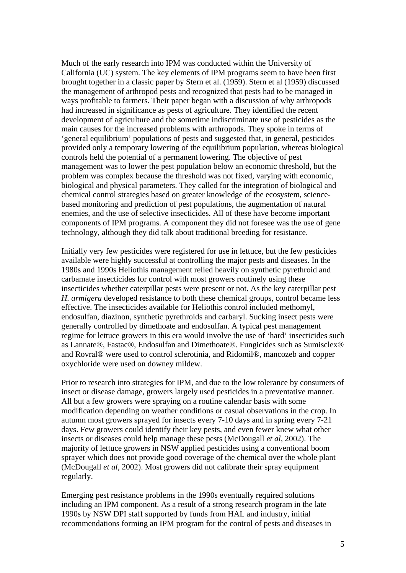Much of the early research into IPM was conducted within the University of California (UC) system. The key elements of IPM programs seem to have been first brought together in a classic paper by Stern et al. (1959). Stern et al (1959) discussed the management of arthropod pests and recognized that pests had to be managed in ways profitable to farmers. Their paper began with a discussion of why arthropods had increased in significance as pests of agriculture. They identified the recent development of agriculture and the sometime indiscriminate use of pesticides as the main causes for the increased problems with arthropods. They spoke in terms of 'general equilibrium' populations of pests and suggested that, in general, pesticides provided only a temporary lowering of the equilibrium population, whereas biological controls held the potential of a permanent lowering. The objective of pest management was to lower the pest population below an economic threshold, but the problem was complex because the threshold was not fixed, varying with economic, biological and physical parameters. They called for the integration of biological and chemical control strategies based on greater knowledge of the ecosystem, sciencebased monitoring and prediction of pest populations, the augmentation of natural enemies, and the use of selective insecticides. All of these have become important components of IPM programs. A component they did not foresee was the use of gene technology, although they did talk about traditional breeding for resistance.

Initially very few pesticides were registered for use in lettuce, but the few pesticides available were highly successful at controlling the major pests and diseases. In the 1980s and 1990s Heliothis management relied heavily on synthetic pyrethroid and carbamate insecticides for control with most growers routinely using these insecticides whether caterpillar pests were present or not. As the key caterpillar pest *H. armigera* developed resistance to both these chemical groups, control became less effective. The insecticides available for Heliothis control included methomyl, endosulfan, diazinon, synthetic pyrethroids and carbaryl. Sucking insect pests were generally controlled by dimethoate and endosulfan. A typical pest management regime for lettuce growers in this era would involve the use of 'hard' insecticides such as Lannate®, Fastac®, Endosulfan and Dimethoate®. Fungicides such as Sumisclex® and Rovral® were used to control sclerotinia, and Ridomil®, mancozeb and copper oxychloride were used on downey mildew.

Prior to research into strategies for IPM, and due to the low tolerance by consumers of insect or disease damage, growers largely used pesticides in a preventative manner. All but a few growers were spraying on a routine calendar basis with some modification depending on weather conditions or casual observations in the crop. In autumn most growers sprayed for insects every 7-10 days and in spring every 7-21 days. Few growers could identify their key pests, and even fewer knew what other insects or diseases could help manage these pests (McDougall *et al*, 2002). The majority of lettuce growers in NSW applied pesticides using a conventional boom sprayer which does not provide good coverage of the chemical over the whole plant (McDougall *et al*, 2002). Most growers did not calibrate their spray equipment regularly.

Emerging pest resistance problems in the 1990s eventually required solutions including an IPM component. As a result of a strong research program in the late 1990s by NSW DPI staff supported by funds from HAL and industry, initial recommendations forming an IPM program for the control of pests and diseases in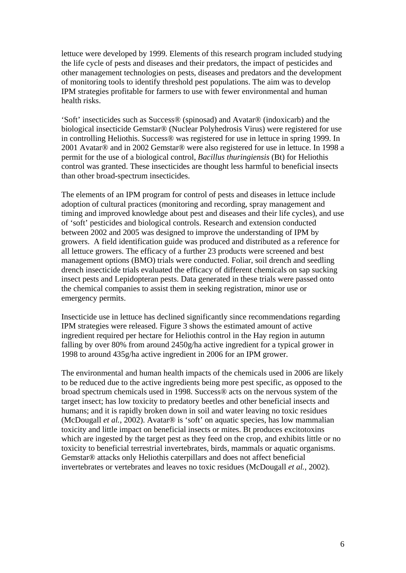lettuce were developed by 1999. Elements of this research program included studying the life cycle of pests and diseases and their predators, the impact of pesticides and other management technologies on pests, diseases and predators and the development of monitoring tools to identify threshold pest populations. The aim was to develop IPM strategies profitable for farmers to use with fewer environmental and human health risks.

'Soft' insecticides such as Success® (spinosad) and Avatar® (indoxicarb) and the biological insecticide Gemstar® (Nuclear Polyhedrosis Virus) were registered for use in controlling Heliothis. Success® was registered for use in lettuce in spring 1999. In 2001 Avatar® and in 2002 Gemstar® were also registered for use in lettuce. In 1998 a permit for the use of a biological control, *Bacillus thuringiensis* (Bt) for Heliothis control was granted. These insecticides are thought less harmful to beneficial insects than other broad-spectrum insecticides.

The elements of an IPM program for control of pests and diseases in lettuce include adoption of cultural practices (monitoring and recording, spray management and timing and improved knowledge about pest and diseases and their life cycles), and use of 'soft' pesticides and biological controls. Research and extension conducted between 2002 and 2005 was designed to improve the understanding of IPM by growers. A field identification guide was produced and distributed as a reference for all lettuce growers. The efficacy of a further 23 products were screened and best management options (BMO) trials were conducted. Foliar, soil drench and seedling drench insecticide trials evaluated the efficacy of different chemicals on sap sucking insect pests and Lepidopteran pests. Data generated in these trials were passed onto the chemical companies to assist them in seeking registration, minor use or emergency permits.

Insecticide use in lettuce has declined significantly since recommendations regarding IPM strategies were released. Figure 3 shows the estimated amount of active ingredient required per hectare for Heliothis control in the Hay region in autumn falling by over 80% from around 2450g/ha active ingredient for a typical grower in 1998 to around 435g/ha active ingredient in 2006 for an IPM grower.

The environmental and human health impacts of the chemicals used in 2006 are likely to be reduced due to the active ingredients being more pest specific, as opposed to the broad spectrum chemicals used in 1998. Success® acts on the nervous system of the target insect; has low toxicity to predatory beetles and other beneficial insects and humans; and it is rapidly broken down in soil and water leaving no toxic residues (McDougall *et al.*, 2002). Avatar® is 'soft' on aquatic species, has low mammalian toxicity and little impact on beneficial insects or mites. Bt produces excitotoxins which are ingested by the target pest as they feed on the crop, and exhibits little or no toxicity to beneficial terrestrial invertebrates, birds, mammals or aquatic organisms. Gemstar® attacks only Heliothis caterpillars and does not affect beneficial invertebrates or vertebrates and leaves no toxic residues (McDougall *et al.*, 2002).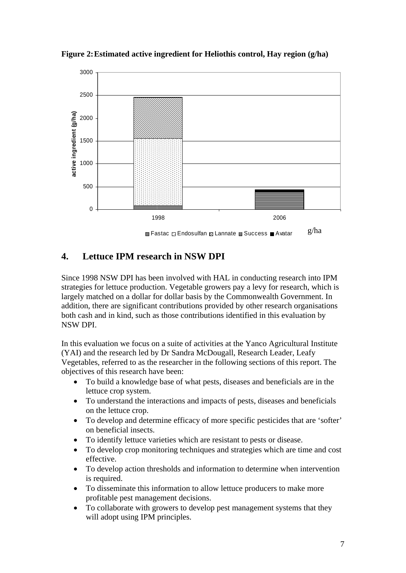

<span id="page-13-0"></span>**Figure 2: Estimated active ingredient for Heliothis control, Hay region (g/ha)** 

# **4. Lettuce IPM research in NSW DPI**

Since 1998 NSW DPI has been involved with HAL in conducting research into IPM strategies for lettuce production. Vegetable growers pay a levy for research, which is largely matched on a dollar for dollar basis by the Commonwealth Government. In addition, there are significant contributions provided by other research organisations both cash and in kind, such as those contributions identified in this evaluation by NSW DPI.

In this evaluation we focus on a suite of activities at the Yanco Agricultural Institute (YAI) and the research led by Dr Sandra McDougall, Research Leader, Leafy Vegetables, referred to as the researcher in the following sections of this report. The objectives of this research have been:

- To build a knowledge base of what pests, diseases and beneficials are in the lettuce crop system.
- To understand the interactions and impacts of pests, diseases and beneficials on the lettuce crop.
- To develop and determine efficacy of more specific pesticides that are 'softer' on beneficial insects.
- To identify lettuce varieties which are resistant to pests or disease.
- To develop crop monitoring techniques and strategies which are time and cost effective.
- To develop action thresholds and information to determine when intervention is required.
- To disseminate this information to allow lettuce producers to make more profitable pest management decisions.
- To collaborate with growers to develop pest management systems that they will adopt using IPM principles.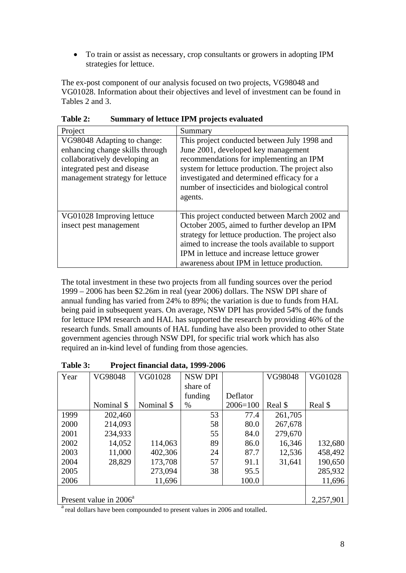<span id="page-14-0"></span>• To train or assist as necessary, crop consultants or growers in adopting IPM strategies for lettuce.

The ex-post component of our analysis focused on two projects, VG98048 and VG01028. Information about their objectives and level of investment can be found in Tables 2 and 3.

| Project                                                                                                                                                           | Summary                                                                                                                                                                                                                                                                                             |
|-------------------------------------------------------------------------------------------------------------------------------------------------------------------|-----------------------------------------------------------------------------------------------------------------------------------------------------------------------------------------------------------------------------------------------------------------------------------------------------|
| VG98048 Adapting to change:<br>enhancing change skills through<br>collaboratively developing an<br>integrated pest and disease<br>management strategy for lettuce | This project conducted between July 1998 and<br>June 2001, developed key management<br>recommendations for implementing an IPM<br>system for lettuce production. The project also<br>investigated and determined efficacy for a<br>number of insecticides and biological control<br>agents.         |
| VG01028 Improving lettuce<br>insect pest management                                                                                                               | This project conducted between March 2002 and<br>October 2005, aimed to further develop an IPM<br>strategy for lettuce production. The project also<br>aimed to increase the tools available to support<br>IPM in lettuce and increase lettuce grower<br>awareness about IPM in lettuce production. |

**Table 2: Summary of lettuce IPM projects evaluated** 

The total investment in these two projects from all funding sources over the period 1999 – 2006 has been \$2.26m in real (year 2006) dollars. The NSW DPI share of annual funding has varied from 24% to 89%; the variation is due to funds from HAL being paid in subsequent years. On average, NSW DPI has provided 54% of the funds for lettuce IPM research and HAL has supported the research by providing 46% of the research funds. Small amounts of HAL funding have also been provided to other State government agencies through NSW DPI, for specific trial work which has also required an in-kind level of funding from those agencies.

| Year | VG98048                            | VG01028    | <b>NSW DPI</b> |              | VG98048 | VG01028   |  |  |  |
|------|------------------------------------|------------|----------------|--------------|---------|-----------|--|--|--|
|      |                                    |            | share of       |              |         |           |  |  |  |
|      |                                    |            | funding        | Deflator     |         |           |  |  |  |
|      | Nominal \$                         | Nominal \$ | $\%$           | $2006 = 100$ | Real \$ | Real \$   |  |  |  |
| 1999 | 202,460                            |            | 53             | 77.4         | 261,705 |           |  |  |  |
| 2000 | 214,093                            |            | 58             | 80.0         | 267,678 |           |  |  |  |
| 2001 | 234,933                            |            | 55             | 84.0         | 279,670 |           |  |  |  |
| 2002 | 14,052                             | 114,063    | 89             | 86.0         | 16,346  | 132,680   |  |  |  |
| 2003 | 11,000                             | 402,306    | 24             | 87.7         | 12,536  | 458,492   |  |  |  |
| 2004 | 28,829                             | 173,708    | 57             | 91.1         | 31,641  | 190,650   |  |  |  |
| 2005 |                                    | 273,094    | 38             | 95.5         |         | 285,932   |  |  |  |
| 2006 |                                    | 11,696     |                | 100.0        |         | 11,696    |  |  |  |
|      |                                    |            |                |              |         |           |  |  |  |
|      | Present value in 2006 <sup>a</sup> |            |                |              |         | 2,257,901 |  |  |  |

**Table 3: Project financial data, 1999-2006** 

<sup>a</sup> real dollars have been compounded to present values in 2006 and totalled.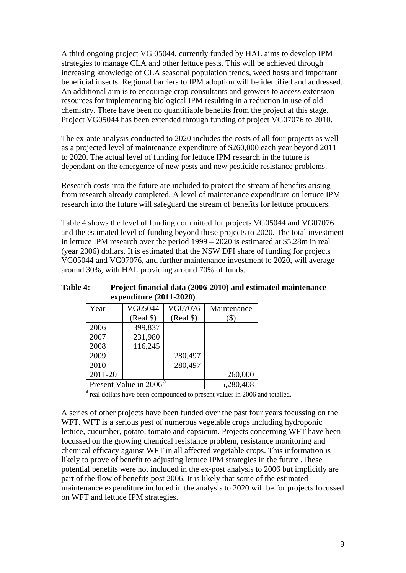<span id="page-15-0"></span>A third ongoing project VG 05044, currently funded by HAL aims to develop IPM strategies to manage CLA and other lettuce pests. This will be achieved through increasing knowledge of CLA seasonal population trends, weed hosts and important beneficial insects. Regional barriers to IPM adoption will be identified and addressed. An additional aim is to encourage crop consultants and growers to access extension resources for implementing biological IPM resulting in a reduction in use of old chemistry. There have been no quantifiable benefits from the project at this stage. Project VG05044 has been extended through funding of project VG07076 to 2010.

The ex-ante analysis conducted to 2020 includes the costs of all four projects as well as a projected level of maintenance expenditure of \$260,000 each year beyond 2011 to 2020. The actual level of funding for lettuce IPM research in the future is dependant on the emergence of new pests and new pesticide resistance problems.

Research costs into the future are included to protect the stream of benefits arising from research already completed. A level of maintenance expenditure on lettuce IPM research into the future will safeguard the stream of benefits for lettuce producers.

Table 4 shows the level of funding committed for projects VG05044 and VG07076 and the estimated level of funding beyond these projects to 2020. The total investment in lettuce IPM research over the period 1999 – 2020 is estimated at \$5.28m in real (year 2006) dollars. It is estimated that the NSW DPI share of funding for projects VG05044 and VG07076, and further maintenance investment to 2020, will average around 30%, with HAL providing around 70% of funds.

**Table 4: Project financial data (2006-2010) and estimated maintenance expenditure (2011-2020)** 

| Year    | VG05044                            | VG07076   | Maintenance |
|---------|------------------------------------|-----------|-------------|
|         | (Real \$)                          | (Real \$) |             |
| 2006    | 399,837                            |           |             |
| 2007    | 231,980                            |           |             |
| 2008    | 116,245                            |           |             |
| 2009    |                                    | 280,497   |             |
| 2010    |                                    | 280,497   |             |
| 2011-20 |                                    |           | 260,000     |
|         | Present Value in 2006 <sup>a</sup> |           | 5,280,408   |

<sup>a</sup> real dollars have been compounded to present values in 2006 and totalled.

A series of other projects have been funded over the past four years focussing on the WFT. WFT is a serious pest of numerous vegetable crops including hydroponic lettuce, cucumber, potato, tomato and capsicum. Projects concerning WFT have been focussed on the growing chemical resistance problem, resistance monitoring and chemical efficacy against WFT in all affected vegetable crops. This information is likely to prove of benefit to adjusting lettuce IPM strategies in the future .These potential benefits were not included in the ex-post analysis to 2006 but implicitly are part of the flow of benefits post 2006. It is likely that some of the estimated maintenance expenditure included in the analysis to 2020 will be for projects focussed on WFT and lettuce IPM strategies.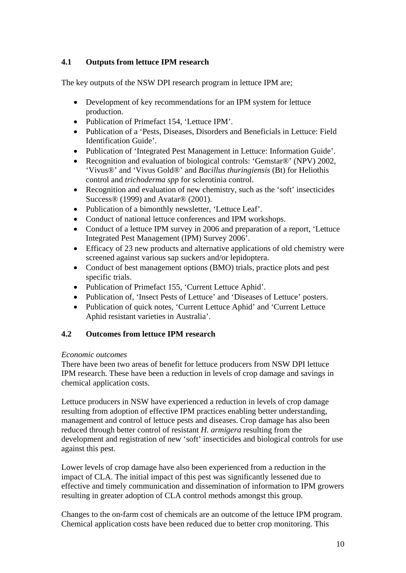# <span id="page-16-0"></span>**4.1 Outputs from lettuce IPM research**

The key outputs of the NSW DPI research program in lettuce IPM are;

- Development of key recommendations for an IPM system for lettuce production.
- Publication of Primefact 154, 'Lettuce IPM'.
- Publication of a 'Pests, Diseases, Disorders and Beneficials in Lettuce: Field Identification Guide'.
- Publication of 'Integrated Pest Management in Lettuce: Information Guide'.
- Recognition and evaluation of biological controls: 'Gemstar®' (NPV) 2002, 'Vivus®' and 'Vivus Gold®' and *Bacillus thuringiensis* (Bt) for Heliothis control and *trichoderma spp* for sclerotinia control.
- Recognition and evaluation of new chemistry, such as the 'soft' insecticides Success® (1999) and Avatar® (2001).
- Publication of a bimonthly newsletter, 'Lettuce Leaf'.
- Conduct of national lettuce conferences and IPM workshops.
- Conduct of a lettuce IPM survey in 2006 and preparation of a report, 'Lettuce Integrated Pest Management (IPM) Survey 2006'.
- Efficacy of 23 new products and alternative applications of old chemistry were screened against various sap suckers and/or lepidoptera.
- Conduct of best management options (BMO) trials, practice plots and pest specific trials.
- Publication of Primefact 155, 'Current Lettuce Aphid'.
- Publication of, 'Insect Pests of Lettuce' and 'Diseases of Lettuce' posters.
- Publication of quick notes, 'Current Lettuce Aphid' and 'Current Lettuce Aphid resistant varieties in Australia'.

### **4.2 Outcomes from lettuce IPM research**

#### *Economic outcomes*

There have been two areas of benefit for lettuce producers from NSW DPI lettuce IPM research. These have been a reduction in levels of crop damage and savings in chemical application costs.

Lettuce producers in NSW have experienced a reduction in levels of crop damage resulting from adoption of effective IPM practices enabling better understanding, management and control of lettuce pests and diseases. Crop damage has also been reduced through better control of resistant *H. armigera* resulting from the development and registration of new 'soft' insecticides and biological controls for use against this pest.

Lower levels of crop damage have also been experienced from a reduction in the impact of CLA. The initial impact of this pest was significantly lessened due to effective and timely communication and dissemination of information to IPM growers resulting in greater adoption of CLA control methods amongst this group.

Changes to the on-farm cost of chemicals are an outcome of the lettuce IPM program. Chemical application costs have been reduced due to better crop monitoring. This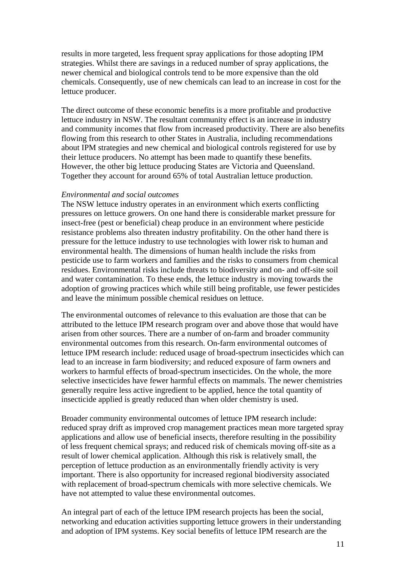results in more targeted, less frequent spray applications for those adopting IPM strategies. Whilst there are savings in a reduced number of spray applications, the newer chemical and biological controls tend to be more expensive than the old chemicals. Consequently, use of new chemicals can lead to an increase in cost for the lettuce producer.

The direct outcome of these economic benefits is a more profitable and productive lettuce industry in NSW. The resultant community effect is an increase in industry and community incomes that flow from increased productivity. There are also benefits flowing from this research to other States in Australia, including recommendations about IPM strategies and new chemical and biological controls registered for use by their lettuce producers. No attempt has been made to quantify these benefits. However, the other big lettuce producing States are Victoria and Queensland. Together they account for around 65% of total Australian lettuce production.

#### *Environmental and social outcomes*

The NSW lettuce industry operates in an environment which exerts conflicting pressures on lettuce growers. On one hand there is considerable market pressure for insect-free (pest or beneficial) cheap produce in an environment where pesticide resistance problems also threaten industry profitability. On the other hand there is pressure for the lettuce industry to use technologies with lower risk to human and environmental health. The dimensions of human health include the risks from pesticide use to farm workers and families and the risks to consumers from chemical residues. Environmental risks include threats to biodiversity and on- and off-site soil and water contamination. To these ends, the lettuce industry is moving towards the adoption of growing practices which while still being profitable, use fewer pesticides and leave the minimum possible chemical residues on lettuce.

The environmental outcomes of relevance to this evaluation are those that can be attributed to the lettuce IPM research program over and above those that would have arisen from other sources. There are a number of on-farm and broader community environmental outcomes from this research. On-farm environmental outcomes of lettuce IPM research include: reduced usage of broad-spectrum insecticides which can lead to an increase in farm biodiversity; and reduced exposure of farm owners and workers to harmful effects of broad-spectrum insecticides. On the whole, the more selective insecticides have fewer harmful effects on mammals. The newer chemistries generally require less active ingredient to be applied, hence the total quantity of insecticide applied is greatly reduced than when older chemistry is used.

Broader community environmental outcomes of lettuce IPM research include: reduced spray drift as improved crop management practices mean more targeted spray applications and allow use of beneficial insects, therefore resulting in the possibility of less frequent chemical sprays; and reduced risk of chemicals moving off-site as a result of lower chemical application. Although this risk is relatively small, the perception of lettuce production as an environmentally friendly activity is very important. There is also opportunity for increased regional biodiversity associated with replacement of broad-spectrum chemicals with more selective chemicals. We have not attempted to value these environmental outcomes.

An integral part of each of the lettuce IPM research projects has been the social, networking and education activities supporting lettuce growers in their understanding and adoption of IPM systems. Key social benefits of lettuce IPM research are the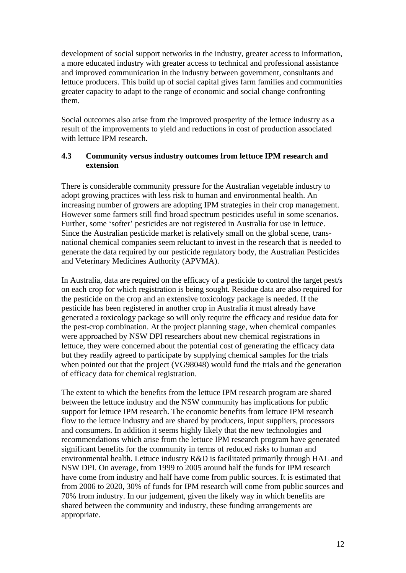<span id="page-18-0"></span>development of social support networks in the industry, greater access to information, a more educated industry with greater access to technical and professional assistance and improved communication in the industry between government, consultants and lettuce producers. This build up of social capital gives farm families and communities greater capacity to adapt to the range of economic and social change confronting them.

Social outcomes also arise from the improved prosperity of the lettuce industry as a result of the improvements to yield and reductions in cost of production associated with lettuce IPM research.

### **4.3 Community versus industry outcomes from lettuce IPM research and extension**

There is considerable community pressure for the Australian vegetable industry to adopt growing practices with less risk to human and environmental health. An increasing number of growers are adopting IPM strategies in their crop management. However some farmers still find broad spectrum pesticides useful in some scenarios. Further, some 'softer' pesticides are not registered in Australia for use in lettuce. Since the Australian pesticide market is relatively small on the global scene, transnational chemical companies seem reluctant to invest in the research that is needed to generate the data required by our pesticide regulatory body, the Australian Pesticides and Veterinary Medicines Authority (APVMA).

In Australia, data are required on the efficacy of a pesticide to control the target pest/s on each crop for which registration is being sought. Residue data are also required for the pesticide on the crop and an extensive toxicology package is needed. If the pesticide has been registered in another crop in Australia it must already have generated a toxicology package so will only require the efficacy and residue data for the pest-crop combination. At the project planning stage, when chemical companies were approached by NSW DPI researchers about new chemical registrations in lettuce, they were concerned about the potential cost of generating the efficacy data but they readily agreed to participate by supplying chemical samples for the trials when pointed out that the project (VG98048) would fund the trials and the generation of efficacy data for chemical registration.

The extent to which the benefits from the lettuce IPM research program are shared between the lettuce industry and the NSW community has implications for public support for lettuce IPM research. The economic benefits from lettuce IPM research flow to the lettuce industry and are shared by producers, input suppliers, processors and consumers. In addition it seems highly likely that the new technologies and recommendations which arise from the lettuce IPM research program have generated significant benefits for the community in terms of reduced risks to human and environmental health. Lettuce industry R&D is facilitated primarily through HAL and NSW DPI. On average, from 1999 to 2005 around half the funds for IPM research have come from industry and half have come from public sources. It is estimated that from 2006 to 2020, 30% of funds for IPM research will come from public sources and 70% from industry. In our judgement, given the likely way in which benefits are shared between the community and industry, these funding arrangements are appropriate.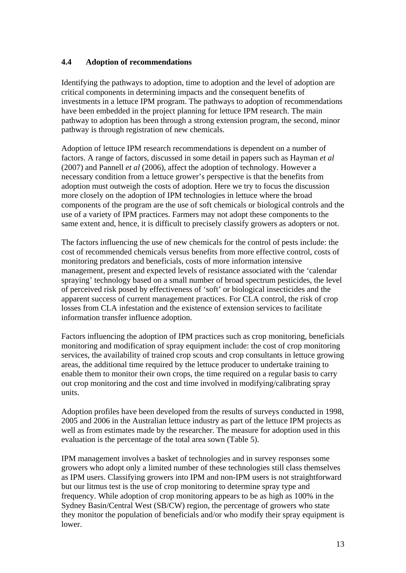## <span id="page-19-0"></span>**4.4 Adoption of recommendations**

Identifying the pathways to adoption, time to adoption and the level of adoption are critical components in determining impacts and the consequent benefits of investments in a lettuce IPM program. The pathways to adoption of recommendations have been embedded in the project planning for lettuce IPM research. The main pathway to adoption has been through a strong extension program, the second, minor pathway is through registration of new chemicals.

Adoption of lettuce IPM research recommendations is dependent on a number of factors. A range of factors, discussed in some detail in papers such as Hayman *et al* (2007) and Pannell *et al* (2006), affect the adoption of technology. However a necessary condition from a lettuce grower's perspective is that the benefits from adoption must outweigh the costs of adoption. Here we try to focus the discussion more closely on the adoption of IPM technologies in lettuce where the broad components of the program are the use of soft chemicals or biological controls and the use of a variety of IPM practices. Farmers may not adopt these components to the same extent and, hence, it is difficult to precisely classify growers as adopters or not.

The factors influencing the use of new chemicals for the control of pests include: the cost of recommended chemicals versus benefits from more effective control, costs of monitoring predators and beneficials, costs of more information intensive management, present and expected levels of resistance associated with the 'calendar spraying' technology based on a small number of broad spectrum pesticides, the level of perceived risk posed by effectiveness of 'soft' or biological insecticides and the apparent success of current management practices. For CLA control, the risk of crop losses from CLA infestation and the existence of extension services to facilitate information transfer influence adoption.

Factors influencing the adoption of IPM practices such as crop monitoring, beneficials monitoring and modification of spray equipment include: the cost of crop monitoring services, the availability of trained crop scouts and crop consultants in lettuce growing areas, the additional time required by the lettuce producer to undertake training to enable them to monitor their own crops, the time required on a regular basis to carry out crop monitoring and the cost and time involved in modifying/calibrating spray units.

Adoption profiles have been developed from the results of surveys conducted in 1998, 2005 and 2006 in the Australian lettuce industry as part of the lettuce IPM projects as well as from estimates made by the researcher. The measure for adoption used in this evaluation is the percentage of the total area sown (Table 5).

IPM management involves a basket of technologies and in survey responses some growers who adopt only a limited number of these technologies still class themselves as IPM users. Classifying growers into IPM and non-IPM users is not straightforward but our litmus test is the use of crop monitoring to determine spray type and frequency. While adoption of crop monitoring appears to be as high as 100% in the Sydney Basin/Central West (SB/CW) region, the percentage of growers who state they monitor the population of beneficials and/or who modify their spray equipment is lower.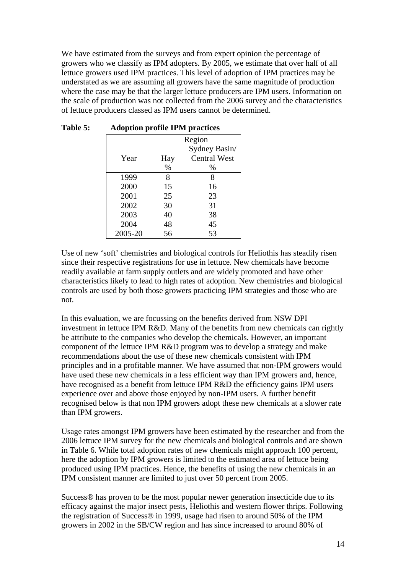<span id="page-20-0"></span>We have estimated from the surveys and from expert opinion the percentage of growers who we classify as IPM adopters. By 2005, we estimate that over half of all lettuce growers used IPM practices. This level of adoption of IPM practices may be understated as we are assuming all growers have the same magnitude of production where the case may be that the larger lettuce producers are IPM users. Information on the scale of production was not collected from the 2006 survey and the characteristics of lettuce producers classed as IPM users cannot be determined.

|         |      | Region              |  |  |  |  |
|---------|------|---------------------|--|--|--|--|
|         |      | Sydney Basin/       |  |  |  |  |
| Year    | Hay  | <b>Central West</b> |  |  |  |  |
|         | $\%$ | %                   |  |  |  |  |
| 1999    | 8    | 8                   |  |  |  |  |
| 2000    | 15   | 16                  |  |  |  |  |
| 2001    | 25   | 23                  |  |  |  |  |
| 2002    | 30   | 31                  |  |  |  |  |
| 2003    | 40   | 38                  |  |  |  |  |
| 2004    | 48   | 45                  |  |  |  |  |
| 2005-20 | 56   | 53                  |  |  |  |  |

| <b>Table 5:</b> |  |  |  | <b>Adoption profile IPM practices</b> |
|-----------------|--|--|--|---------------------------------------|
|-----------------|--|--|--|---------------------------------------|

Use of new 'soft' chemistries and biological controls for Heliothis has steadily risen since their respective registrations for use in lettuce. New chemicals have become readily available at farm supply outlets and are widely promoted and have other characteristics likely to lead to high rates of adoption. New chemistries and biological controls are used by both those growers practicing IPM strategies and those who are not.

In this evaluation, we are focussing on the benefits derived from NSW DPI investment in lettuce IPM R&D. Many of the benefits from new chemicals can rightly be attribute to the companies who develop the chemicals. However, an important component of the lettuce IPM R&D program was to develop a strategy and make recommendations about the use of these new chemicals consistent with IPM principles and in a profitable manner. We have assumed that non-IPM growers would have used these new chemicals in a less efficient way than IPM growers and, hence, have recognised as a benefit from lettuce IPM R&D the efficiency gains IPM users experience over and above those enjoyed by non-IPM users. A further benefit recognised below is that non IPM growers adopt these new chemicals at a slower rate than IPM growers.

Usage rates amongst IPM growers have been estimated by the researcher and from the 2006 lettuce IPM survey for the new chemicals and biological controls and are shown in Table 6. While total adoption rates of new chemicals might approach 100 percent, here the adoption by IPM growers is limited to the estimated area of lettuce being produced using IPM practices. Hence, the benefits of using the new chemicals in an IPM consistent manner are limited to just over 50 percent from 2005.

Success® has proven to be the most popular newer generation insecticide due to its efficacy against the major insect pests, Heliothis and western flower thrips. Following the registration of Success® in 1999, usage had risen to around 50% of the IPM growers in 2002 in the SB/CW region and has since increased to around 80% of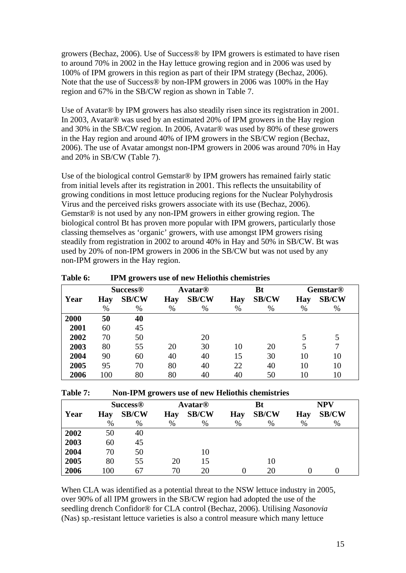<span id="page-21-0"></span>growers (Bechaz, 2006). Use of Success® by IPM growers is estimated to have risen to around 70% in 2002 in the Hay lettuce growing region and in 2006 was used by 100% of IPM growers in this region as part of their IPM strategy (Bechaz, 2006). Note that the use of Success® by non-IPM growers in 2006 was 100% in the Hay region and 67% in the SB/CW region as shown in Table 7.

Use of Avatar<sup>®</sup> by IPM growers has also steadily risen since its registration in 2001. In 2003, Avatar® was used by an estimated 20% of IPM growers in the Hay region and 30% in the SB/CW region. In 2006, Avatar® was used by 80% of these growers in the Hay region and around 40% of IPM growers in the SB/CW region (Bechaz, 2006). The use of Avatar amongst non-IPM growers in 2006 was around 70% in Hay and 20% in SB/CW (Table 7).

Use of the biological control Gemstar® by IPM growers has remained fairly static from initial levels after its registration in 2001. This reflects the unsuitability of growing conditions in most lettuce producing regions for the Nuclear Polyhydrosis Virus and the perceived risks growers associate with its use (Bechaz, 2006). Gemstar® is not used by any non-IPM growers in either growing region. The biological control Bt has proven more popular with IPM growers, particularly those classing themselves as 'organic' growers, with use amongst IPM growers rising steadily from registration in 2002 to around 40% in Hay and 50% in SB/CW. Bt was used by 20% of non-IPM growers in 2006 in the SB/CW but was not used by any non-IPM growers in the Hay region.

|      | <b>Success<sup>®</sup></b> |              |            | <b>Avatar®</b> |            |              |            | <b>Bt</b>    | <b>Gemstar®</b> |  |
|------|----------------------------|--------------|------------|----------------|------------|--------------|------------|--------------|-----------------|--|
| Year | <b>Hay</b>                 | <b>SB/CW</b> | <b>Hay</b> | <b>SB/CW</b>   | <b>Hay</b> | <b>SB/CW</b> | <b>Hay</b> | <b>SB/CW</b> |                 |  |
|      | $\%$                       | %            | $\%$       | %              | $\%$       | $\%$         | %          | $\%$         |                 |  |
| 2000 | 50                         | 40           |            |                |            |              |            |              |                 |  |
| 2001 | 60                         | 45           |            |                |            |              |            |              |                 |  |
| 2002 | 70                         | 50           |            | 20             |            |              |            |              |                 |  |
| 2003 | 80                         | 55           | 20         | 30             | 10         | 20           | 5          | 7            |                 |  |
| 2004 | 90                         | 60           | 40         | 40             | 15         | 30           | 10         | 10           |                 |  |
| 2005 | 95                         | 70           | 80         | 40             | 22         | 40           | 10         | 10           |                 |  |
| 2006 | 100                        | 80           | 80         | 40             | 40         | 50           | 10         | 10           |                 |  |

**Table 6: IPM growers use of new Heliothis chemistries** 

| Non-IPM growers use of new Heliothis chemistries | <b>Table 7:</b> |  |  |  |  |  |
|--------------------------------------------------|-----------------|--|--|--|--|--|
|--------------------------------------------------|-----------------|--|--|--|--|--|

|      |            | <b>Success®</b> |            | <b>Avatar<sup>®</sup></b> |            | Bt           |            | <b>NPV</b>   |
|------|------------|-----------------|------------|---------------------------|------------|--------------|------------|--------------|
| Year | <b>Hay</b> | <b>SB/CW</b>    | <b>Hay</b> | <b>SB/CW</b>              | <b>Hay</b> | <b>SB/CW</b> | <b>Hay</b> | <b>SB/CW</b> |
|      | $\%$       | $\%$            | $\%$       | %                         | %          | $\%$         | %          | $\%$         |
| 2002 | 50         | 40              |            |                           |            |              |            |              |
| 2003 | 60         | 45              |            |                           |            |              |            |              |
| 2004 | 70         | 50              |            | 10                        |            |              |            |              |
| 2005 | 80         | 55              | 20         | 15                        |            | 10           |            |              |
| 2006 | 100        | 67              | 70         | 20                        |            | 20           |            |              |

When CLA was identified as a potential threat to the NSW lettuce industry in 2005, over 90% of all IPM growers in the SB/CW region had adopted the use of the seedling drench Confidor® for CLA control (Bechaz, 2006). Utilising *Nasonovia* (Nas) sp.-resistant lettuce varieties is also a control measure which many lettuce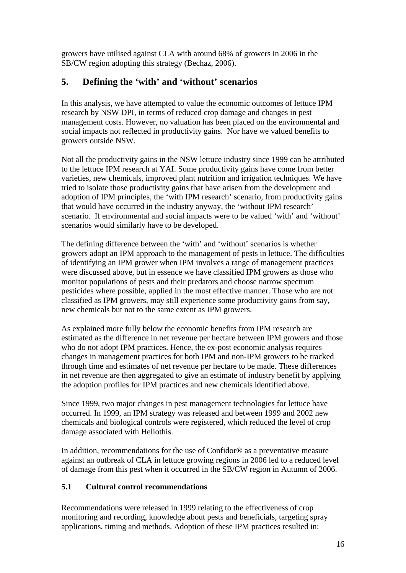<span id="page-22-0"></span>growers have utilised against CLA with around 68% of growers in 2006 in the SB/CW region adopting this strategy (Bechaz, 2006).

# **5. Defining the 'with' and 'without' scenarios**

In this analysis, we have attempted to value the economic outcomes of lettuce IPM research by NSW DPI, in terms of reduced crop damage and changes in pest management costs. However, no valuation has been placed on the environmental and social impacts not reflected in productivity gains. Nor have we valued benefits to growers outside NSW.

Not all the productivity gains in the NSW lettuce industry since 1999 can be attributed to the lettuce IPM research at YAI. Some productivity gains have come from better varieties, new chemicals, improved plant nutrition and irrigation techniques. We have tried to isolate those productivity gains that have arisen from the development and adoption of IPM principles, the 'with IPM research' scenario, from productivity gains that would have occurred in the industry anyway, the 'without IPM research' scenario. If environmental and social impacts were to be valued 'with' and 'without' scenarios would similarly have to be developed.

The defining difference between the 'with' and 'without' scenarios is whether growers adopt an IPM approach to the management of pests in lettuce. The difficulties of identifying an IPM grower when IPM involves a range of management practices were discussed above, but in essence we have classified IPM growers as those who monitor populations of pests and their predators and choose narrow spectrum pesticides where possible, applied in the most effective manner. Those who are not classified as IPM growers, may still experience some productivity gains from say, new chemicals but not to the same extent as IPM growers.

As explained more fully below the economic benefits from IPM research are estimated as the difference in net revenue per hectare between IPM growers and those who do not adopt IPM practices. Hence, the ex-post economic analysis requires changes in management practices for both IPM and non-IPM growers to be tracked through time and estimates of net revenue per hectare to be made. These differences in net revenue are then aggregated to give an estimate of industry benefit by applying the adoption profiles for IPM practices and new chemicals identified above.

Since 1999, two major changes in pest management technologies for lettuce have occurred. In 1999, an IPM strategy was released and between 1999 and 2002 new chemicals and biological controls were registered, which reduced the level of crop damage associated with Heliothis.

In addition, recommendations for the use of Confidor® as a preventative measure against an outbreak of CLA in lettuce growing regions in 2006 led to a reduced level of damage from this pest when it occurred in the SB/CW region in Autumn of 2006.

# **5.1 Cultural control recommendations**

Recommendations were released in 1999 relating to the effectiveness of crop monitoring and recording, knowledge about pests and beneficials, targeting spray applications, timing and methods. Adoption of these IPM practices resulted in: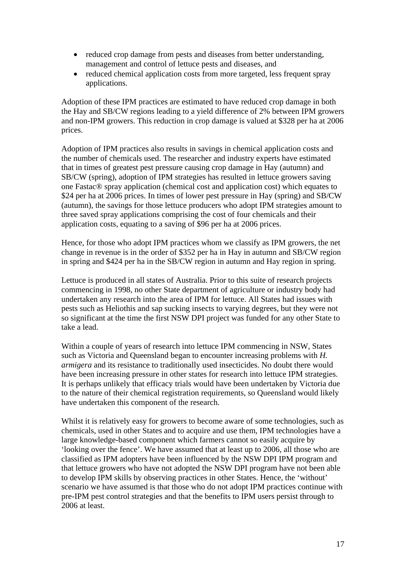- reduced crop damage from pests and diseases from better understanding, management and control of lettuce pests and diseases, and
- reduced chemical application costs from more targeted, less frequent spray applications.

Adoption of these IPM practices are estimated to have reduced crop damage in both the Hay and SB/CW regions leading to a yield difference of 2% between IPM growers and non-IPM growers. This reduction in crop damage is valued at \$328 per ha at 2006 prices.

Adoption of IPM practices also results in savings in chemical application costs and the number of chemicals used. The researcher and industry experts have estimated that in times of greatest pest pressure causing crop damage in Hay (autumn) and SB/CW (spring), adoption of IPM strategies has resulted in lettuce growers saving one Fastac® spray application (chemical cost and application cost) which equates to \$24 per ha at 2006 prices. In times of lower pest pressure in Hay (spring) and SB/CW (autumn), the savings for those lettuce producers who adopt IPM strategies amount to three saved spray applications comprising the cost of four chemicals and their application costs, equating to a saving of \$96 per ha at 2006 prices.

Hence, for those who adopt IPM practices whom we classify as IPM growers, the net change in revenue is in the order of \$352 per ha in Hay in autumn and SB/CW region in spring and \$424 per ha in the SB/CW region in autumn and Hay region in spring.

Lettuce is produced in all states of Australia. Prior to this suite of research projects commencing in 1998, no other State department of agriculture or industry body had undertaken any research into the area of IPM for lettuce. All States had issues with pests such as Heliothis and sap sucking insects to varying degrees, but they were not so significant at the time the first NSW DPI project was funded for any other State to take a lead.

Within a couple of years of research into lettuce IPM commencing in NSW, States such as Victoria and Queensland began to encounter increasing problems with *H. armigera* and its resistance to traditionally used insecticides. No doubt there would have been increasing pressure in other states for research into lettuce IPM strategies. It is perhaps unlikely that efficacy trials would have been undertaken by Victoria due to the nature of their chemical registration requirements, so Queensland would likely have undertaken this component of the research.

Whilst it is relatively easy for growers to become aware of some technologies, such as chemicals, used in other States and to acquire and use them, IPM technologies have a large knowledge-based component which farmers cannot so easily acquire by 'looking over the fence'. We have assumed that at least up to 2006, all those who are classified as IPM adopters have been influenced by the NSW DPI IPM program and that lettuce growers who have not adopted the NSW DPI program have not been able to develop IPM skills by observing practices in other States. Hence, the 'without' scenario we have assumed is that those who do not adopt IPM practices continue with pre-IPM pest control strategies and that the benefits to IPM users persist through to 2006 at least.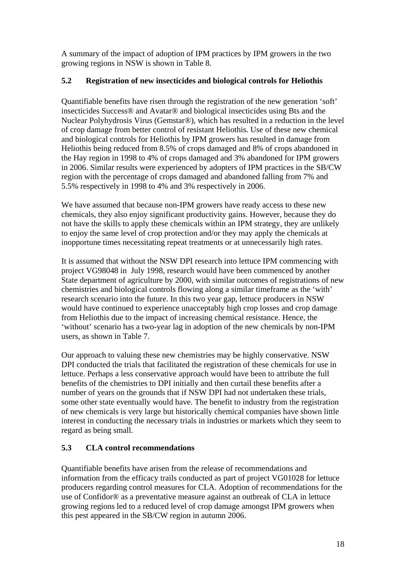<span id="page-24-0"></span>A summary of the impact of adoption of IPM practices by IPM growers in the two growing regions in NSW is shown in Table 8.

## **5.2 Registration of new insecticides and biological controls for Heliothis**

Quantifiable benefits have risen through the registration of the new generation 'soft' insecticides Success® and Avatar® and biological insecticides using Bts and the Nuclear Polyhydrosis Virus (Gemstar®), which has resulted in a reduction in the level of crop damage from better control of resistant Heliothis. Use of these new chemical and biological controls for Heliothis by IPM growers has resulted in damage from Heliothis being reduced from 8.5% of crops damaged and 8% of crops abandoned in the Hay region in 1998 to 4% of crops damaged and 3% abandoned for IPM growers in 2006. Similar results were experienced by adopters of IPM practices in the SB/CW region with the percentage of crops damaged and abandoned falling from 7% and 5.5% respectively in 1998 to 4% and 3% respectively in 2006.

We have assumed that because non-IPM growers have ready access to these new chemicals, they also enjoy significant productivity gains. However, because they do not have the skills to apply these chemicals within an IPM strategy, they are unlikely to enjoy the same level of crop protection and/or they may apply the chemicals at inopportune times necessitating repeat treatments or at unnecessarily high rates.

It is assumed that without the NSW DPI research into lettuce IPM commencing with project VG98048 in July 1998, research would have been commenced by another State department of agriculture by 2000, with similar outcomes of registrations of new chemistries and biological controls flowing along a similar timeframe as the 'with' research scenario into the future. In this two year gap, lettuce producers in NSW would have continued to experience unacceptably high crop losses and crop damage from Heliothis due to the impact of increasing chemical resistance. Hence, the 'without' scenario has a two-year lag in adoption of the new chemicals by non-IPM users, as shown in Table 7.

Our approach to valuing these new chemistries may be highly conservative. NSW DPI conducted the trials that facilitated the registration of these chemicals for use in lettuce. Perhaps a less conservative approach would have been to attribute the full benefits of the chemistries to DPI initially and then curtail these benefits after a number of years on the grounds that if NSW DPI had not undertaken these trials, some other state eventually would have. The benefit to industry from the registration of new chemicals is very large but historically chemical companies have shown little interest in conducting the necessary trials in industries or markets which they seem to regard as being small.

# **5.3 CLA control recommendations**

Quantifiable benefits have arisen from the release of recommendations and information from the efficacy trails conducted as part of project VG01028 for lettuce producers regarding control measures for CLA. Adoption of recommendations for the use of Confidor® as a preventative measure against an outbreak of CLA in lettuce growing regions led to a reduced level of crop damage amongst IPM growers when this pest appeared in the SB/CW region in autumn 2006.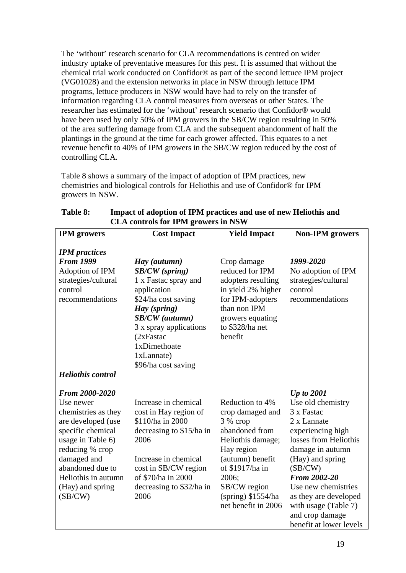<span id="page-25-0"></span>The 'without' research scenario for CLA recommendations is centred on wider industry uptake of preventative measures for this pest. It is assumed that without the chemical trial work conducted on Confidor® as part of the second lettuce IPM project (VG01028) and the extension networks in place in NSW through lettuce IPM programs, lettuce producers in NSW would have had to rely on the transfer of information regarding CLA control measures from overseas or other States. The researcher has estimated for the 'without' research scenario that Confidor® would have been used by only 50% of IPM growers in the SB/CW region resulting in 50% of the area suffering damage from CLA and the subsequent abandonment of half the plantings in the ground at the time for each grower affected. This equates to a net revenue benefit to 40% of IPM growers in the SB/CW region reduced by the cost of controlling CLA.

Table 8 shows a summary of the impact of adoption of IPM practices, new chemistries and biological controls for Heliothis and use of Confidor® for IPM growers in NSW.

| <b>IPM</b> growers                                                                                                                                                                                                             | <b>Cost Impact</b>                                                                                                                                                                                                                   | <b>Yield Impact</b>                                                                                                                                                                                                 | <b>Non-IPM</b> growers                                                                                                                                                                                                                                                                                            |
|--------------------------------------------------------------------------------------------------------------------------------------------------------------------------------------------------------------------------------|--------------------------------------------------------------------------------------------------------------------------------------------------------------------------------------------------------------------------------------|---------------------------------------------------------------------------------------------------------------------------------------------------------------------------------------------------------------------|-------------------------------------------------------------------------------------------------------------------------------------------------------------------------------------------------------------------------------------------------------------------------------------------------------------------|
| <b>IPM</b> practices<br><b>From 1999</b><br>Adoption of IPM<br>strategies/cultural<br>control<br>recommendations<br><b>Heliothis control</b>                                                                                   | Hay (autumn)<br><b>SB/CW</b> (spring)<br>1 x Fastac spray and<br>application<br>\$24/ha cost saving<br>Hay (spring)<br>$SB/CW$ (autumn)<br>3 x spray applications<br>(2xFastac)<br>1xDimethoate<br>1xLannate)<br>\$96/ha cost saving | Crop damage<br>reduced for IPM<br>adopters resulting<br>in yield 2% higher<br>for IPM-adopters<br>than non IPM<br>growers equating<br>to \$328/ha net<br>benefit                                                    | 1999-2020<br>No adoption of IPM<br>strategies/cultural<br>control<br>recommendations                                                                                                                                                                                                                              |
| From 2000-2020<br>Use newer<br>chemistries as they<br>are developed (use<br>specific chemical<br>usage in Table 6)<br>reducing % crop<br>damaged and<br>abandoned due to<br>Heliothis in autumn<br>(Hay) and spring<br>(SB/CW) | Increase in chemical<br>cost in Hay region of<br>\$110/ha in 2000<br>decreasing to \$15/ha in<br>2006<br>Increase in chemical<br>cost in SB/CW region<br>of \$70/ha in 2000<br>decreasing to \$32/ha in<br>2006                      | Reduction to 4%<br>crop damaged and<br>3 % crop<br>abandoned from<br>Heliothis damage;<br>Hay region<br>(autumn) benefit<br>of \$1917/ha in<br>2006;<br>SB/CW region<br>$(spring)$ \$1554/ha<br>net benefit in 2006 | <b>Up to 2001</b><br>Use old chemistry<br>3 x Fastac<br>2 x Lannate<br>experiencing high<br>losses from Heliothis<br>damage in autumn<br>(Hay) and spring<br>(SB/CW)<br><b>From 2002-20</b><br>Use new chemistries<br>as they are developed<br>with usage (Table 7)<br>and crop damage<br>benefit at lower levels |

### **Table 8: Impact of adoption of IPM practices and use of new Heliothis and CLA controls for IPM growers in NSW**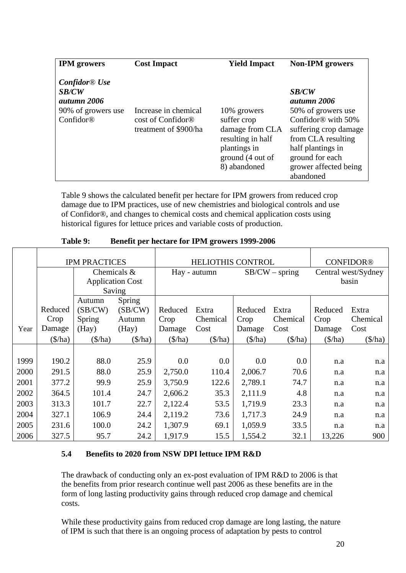<span id="page-26-0"></span>

| <b>IPM</b> growers                                                                  | <b>Cost Impact</b>                                                             | <b>Yield Impact</b>                                                                                                    | <b>Non-IPM</b> growers                                                                                                                                                                                           |
|-------------------------------------------------------------------------------------|--------------------------------------------------------------------------------|------------------------------------------------------------------------------------------------------------------------|------------------------------------------------------------------------------------------------------------------------------------------------------------------------------------------------------------------|
| $Confidor \&$ Use<br><b>SB/CW</b><br>autumn 2006<br>90% of growers use<br>Confidor® | Increase in chemical<br>cost of Confidor <sup>®</sup><br>treatment of \$900/ha | 10% growers<br>suffer crop<br>damage from CLA<br>resulting in half<br>plantings in<br>ground (4 out of<br>8) abandoned | <b>SB/CW</b><br>autumn 2006<br>50% of growers use<br>Confidor <sup>®</sup> with 50%<br>suffering crop damage<br>from CLA resulting<br>half plantings in<br>ground for each<br>grower affected being<br>abandoned |

Table 9 shows the calculated benefit per hectare for IPM growers from reduced crop damage due to IPM practices, use of new chemistries and biological controls and use of Confidor®, and changes to chemical costs and chemical application costs using historical figures for lettuce prices and variable costs of production.

|      |                   | <b>IPM PRACTICES</b> |                         |                   | <b>HELIOTHIS CONTROL</b> |                   |                   |                   | <b>CONFIDOR®</b>    |
|------|-------------------|----------------------|-------------------------|-------------------|--------------------------|-------------------|-------------------|-------------------|---------------------|
|      |                   |                      | Chemicals &             |                   | Hay - autumn             |                   | $SB/CW$ – spring  |                   | Central west/Sydney |
|      |                   |                      | <b>Application Cost</b> |                   |                          |                   |                   |                   | basin               |
|      |                   |                      | Saving                  |                   |                          |                   |                   |                   |                     |
|      |                   | Autumn               | Spring                  |                   |                          |                   |                   |                   |                     |
|      | Reduced           | (SB/CW)              | (SB/CW)                 | Reduced           | Extra                    | Reduced           | Extra             | Reduced           | Extra               |
|      | Crop              | Spring               | Autumn                  | Crop              | Chemical                 | Crop              | Chemical          | Crop              | Chemical            |
| Year | Damage            | (Hay)                | (Hay)                   | Damage            | Cost                     | Damage            | Cost              | Damage            | Cost                |
|      | $(\frac{\pi}{a})$ | $(\frac{\pi}{a})$    | $(\frac{\pi}{a})$       | $(\frac{\pi}{a})$ | $(\frac{\pi}{2})$        | $(\frac{\pi}{a})$ | $(\frac{\pi}{a})$ | $(\frac{\pi}{a})$ | $(\frac{\pi}{a})$   |
|      |                   |                      |                         |                   |                          |                   |                   |                   |                     |
| 1999 | 190.2             | 88.0                 | 25.9                    | 0.0               | 0.0                      | 0.0               | 0.0               | n.a               | n.a                 |
| 2000 | 291.5             | 88.0                 | 25.9                    | 2,750.0           | 110.4                    | 2,006.7           | 70.6              | n.a               | n.a                 |
| 2001 | 377.2             | 99.9                 | 25.9                    | 3,750.9           | 122.6                    | 2,789.1           | 74.7              | n.a               | n.a                 |
| 2002 | 364.5             | 101.4                | 24.7                    | 2,606.2           | 35.3                     | 2,111.9           | 4.8               | n.a               | n.a                 |
| 2003 | 313.3             | 101.7                | 22.7                    | 2,122.4           | 53.5                     | 1,719.9           | 23.3              | n.a               | n.a                 |
| 2004 | 327.1             | 106.9                | 24.4                    | 2,119.2           | 73.6                     | 1,717.3           | 24.9              | n.a               | n.a                 |
| 2005 | 231.6             | 100.0                | 24.2                    | 1,307.9           | 69.1                     | 1,059.9           | 33.5              | n.a               | n.a                 |
| 2006 | 327.5             | 95.7                 | 24.2                    | 1,917.9           | 15.5                     | 1,554.2           | 32.1              | 13,226            | 900                 |

**Table 9: Benefit per hectare for IPM growers 1999-2006** 

# **5.4 Benefits to 2020 from NSW DPI lettuce IPM R&D**

The drawback of conducting only an ex-post evaluation of IPM R&D to 2006 is that the benefits from prior research continue well past 2006 as these benefits are in the form of long lasting productivity gains through reduced crop damage and chemical costs.

While these productivity gains from reduced crop damage are long lasting, the nature of IPM is such that there is an ongoing process of adaptation by pests to control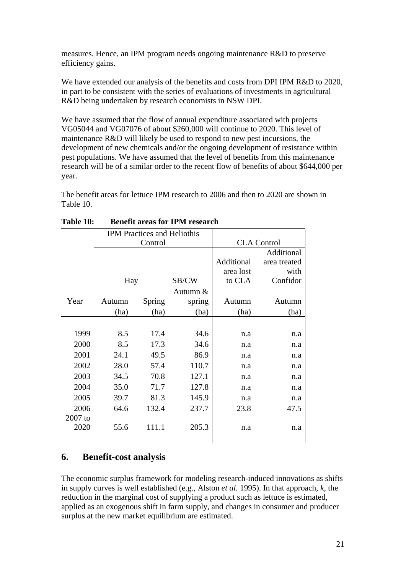<span id="page-27-0"></span>measures. Hence, an IPM program needs ongoing maintenance R&D to preserve efficiency gains.

We have extended our analysis of the benefits and costs from DPI IPM R&D to 2020, in part to be consistent with the series of evaluations of investments in agricultural R&D being undertaken by research economists in NSW DPI.

We have assumed that the flow of annual expenditure associated with projects VG05044 and VG07076 of about \$260,000 will continue to 2020. This level of maintenance R&D will likely be used to respond to new pest incursions, the development of new chemicals and/or the ongoing development of resistance within pest populations. We have assumed that the level of benefits from this maintenance research will be of a similar order to the recent flow of benefits of about \$644,000 per year.

The benefit areas for lettuce IPM research to 2006 and then to 2020 are shown in Table 10.

|           |         | <b>IPM</b> Practices and Heliothis |          |            |                    |
|-----------|---------|------------------------------------|----------|------------|--------------------|
|           | Control |                                    |          |            | <b>CLA</b> Control |
|           |         |                                    |          |            | Additional         |
|           |         |                                    |          | Additional | area treated       |
|           |         |                                    |          | area lost  | with               |
|           | Hay     |                                    | SB/CW    | to CLA     | Confidor           |
|           |         |                                    | Autumn & |            |                    |
| Year      | Autumn  | Spring                             | spring   | Autumn     | Autumn             |
|           | (ha)    | (ha)                               | (ha)     | (ha)       | (ha)               |
|           |         |                                    |          |            |                    |
| 1999      | 8.5     | 17.4                               | 34.6     | n.a        | n.a                |
| 2000      | 8.5     | 17.3                               | 34.6     | n.a        | n.a                |
| 2001      | 24.1    | 49.5                               | 86.9     | n.a        | n.a                |
| 2002      | 28.0    | 57.4                               | 110.7    | n.a        | n.a                |
| 2003      | 34.5    | 70.8                               | 127.1    | n.a        | n.a                |
| 2004      | 35.0    | 71.7                               | 127.8    | n.a        | n.a                |
| 2005      | 39.7    | 81.3                               | 145.9    | n.a        | n.a                |
| 2006      | 64.6    | 132.4                              | 237.7    | 23.8       | 47.5               |
| $2007$ to |         |                                    |          |            |                    |
| 2020      | 55.6    | 111.1                              | 205.3    | n.a        | n.a                |
|           |         |                                    |          |            |                    |

| Table 10: |  | <b>Benefit areas for IPM research</b> |
|-----------|--|---------------------------------------|
|-----------|--|---------------------------------------|

# **6. Benefit-cost analysis**

The economic surplus framework for modeling research-induced innovations as shifts in supply curves is well established (e.g., Alston *et al.* 1995). In that approach, *k*, the reduction in the marginal cost of supplying a product such as lettuce is estimated, applied as an exogenous shift in farm supply, and changes in consumer and producer surplus at the new market equilibrium are estimated.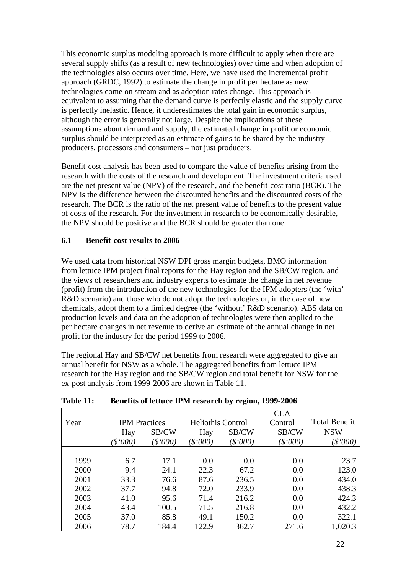<span id="page-28-0"></span>This economic surplus modeling approach is more difficult to apply when there are several supply shifts (as a result of new technologies) over time and when adoption of the technologies also occurs over time. Here, we have used the incremental profit approach (GRDC, 1992) to estimate the change in profit per hectare as new technologies come on stream and as adoption rates change. This approach is equivalent to assuming that the demand curve is perfectly elastic and the supply curve is perfectly inelastic. Hence, it underestimates the total gain in economic surplus, although the error is generally not large. Despite the implications of these assumptions about demand and supply, the estimated change in profit or economic surplus should be interpreted as an estimate of gains to be shared by the industry – producers, processors and consumers – not just producers.

Benefit-cost analysis has been used to compare the value of benefits arising from the research with the costs of the research and development. The investment criteria used are the net present value (NPV) of the research, and the benefit-cost ratio (BCR). The NPV is the difference between the discounted benefits and the discounted costs of the research. The BCR is the ratio of the net present value of benefits to the present value of costs of the research. For the investment in research to be economically desirable, the NPV should be positive and the BCR should be greater than one.

#### **6.1 Benefit-cost results to 2006**

We used data from historical NSW DPI gross margin budgets, BMO information from lettuce IPM project final reports for the Hay region and the SB/CW region, and the views of researchers and industry experts to estimate the change in net revenue (profit) from the introduction of the new technologies for the IPM adopters (the 'with' R&D scenario) and those who do not adopt the technologies or, in the case of new chemicals, adopt them to a limited degree (the 'without' R&D scenario). ABS data on production levels and data on the adoption of technologies were then applied to the per hectare changes in net revenue to derive an estimate of the annual change in net profit for the industry for the period 1999 to 2006.

The regional Hay and SB/CW net benefits from research were aggregated to give an annual benefit for NSW as a whole. The aggregated benefits from lettuce IPM research for the Hay region and the SB/CW region and total benefit for NSW for the ex-post analysis from 1999-2006 are shown in Table 11.

|      |                      |       |                          |       | <b>CLA</b> |                      |
|------|----------------------|-------|--------------------------|-------|------------|----------------------|
| Year | <b>IPM</b> Practices |       | <b>Heliothis Control</b> |       | Control    | <b>Total Benefit</b> |
|      | Hay                  | SB/CW | Hay                      | SB/CW | SB/CW      | <b>NSW</b>           |
|      | \$000                | \$000 | \$000                    | \$000 | \$000      | \$000                |
|      |                      |       |                          |       |            |                      |
| 1999 | 6.7                  | 17.1  | 0.0                      | 0.0   | 0.0        | 23.7                 |
| 2000 | 9.4                  | 24.1  | 22.3                     | 67.2  | 0.0        | 123.0                |
| 2001 | 33.3                 | 76.6  | 87.6                     | 236.5 | 0.0        | 434.0                |
| 2002 | 37.7                 | 94.8  | 72.0                     | 233.9 | 0.0        | 438.3                |
| 2003 | 41.0                 | 95.6  | 71.4                     | 216.2 | 0.0        | 424.3                |
| 2004 | 43.4                 | 100.5 | 71.5                     | 216.8 | 0.0        | 432.2                |
| 2005 | 37.0                 | 85.8  | 49.1                     | 150.2 | 0.0        | 322.1                |
| 2006 | 78.7                 | 184.4 | 122.9                    | 362.7 | 271.6      | 1,020.3              |

### **Table 11: Benefits of lettuce IPM research by region, 1999-2006**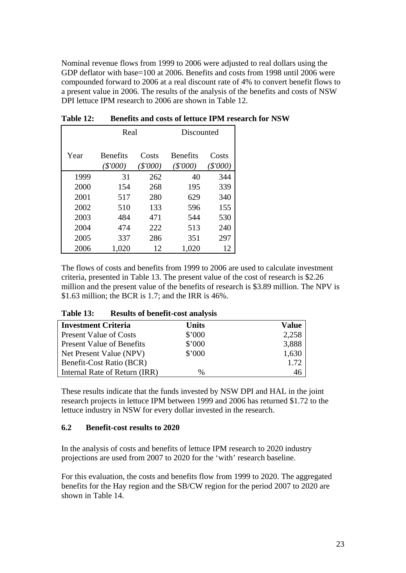<span id="page-29-0"></span>Nominal revenue flows from 1999 to 2006 were adjusted to real dollars using the GDP deflator with base=100 at 2006. Benefits and costs from 1998 until 2006 were compounded forward to 2006 at a real discount rate of 4% to convert benefit flows to a present value in 2006. The results of the analysis of the benefits and costs of NSW DPI lettuce IPM research to 2006 are shown in Table 12.

|      | Real                        |                  | Discounted                    |                 |  |  |
|------|-----------------------------|------------------|-------------------------------|-----------------|--|--|
| Year | <b>Benefits</b><br>(\$'000) | Costs<br>(S'000) | <b>Benefits</b><br>$(\$'000)$ | Costs<br>\$'000 |  |  |
| 1999 | 31                          | 262              | 40                            | 344             |  |  |
| 2000 | 154                         | 268              | 195                           | 339             |  |  |
| 2001 | 517                         | 280              | 629                           | 340             |  |  |
| 2002 | 510                         | 133              | 596                           | 155             |  |  |
| 2003 | 484                         | 471              | 544                           | 530             |  |  |
| 2004 | 474                         | 222              | 513                           | 240             |  |  |
| 2005 | 337                         | 286              | 351                           | 297             |  |  |
| 2006 | 1,020                       | 12               | 1,020                         | 12              |  |  |

**Table 12: Benefits and costs of lettuce IPM research for NSW** 

The flows of costs and benefits from 1999 to 2006 are used to calculate investment criteria, presented in Table 13. The present value of the cost of research is \$2.26 million and the present value of the benefits of research is \$3.89 million. The NPV is \$1.63 million; the BCR is 1.7; and the IRR is 46%.

| Table 13: |  | <b>Results of benefit-cost analysis</b> |  |
|-----------|--|-----------------------------------------|--|
|-----------|--|-----------------------------------------|--|

| <b>Investment Criteria</b>       | <b>Units</b> | Value |
|----------------------------------|--------------|-------|
| <b>Present Value of Costs</b>    | \$'000       | 2,258 |
| <b>Present Value of Benefits</b> | \$'000       | 3,888 |
| Net Present Value (NPV)          | \$'000       | 1,630 |
| Benefit-Cost Ratio (BCR)         |              | 1.72  |
| Internal Rate of Return (IRR)    | %            | 46    |

These results indicate that the funds invested by NSW DPI and HAL in the joint research projects in lettuce IPM between 1999 and 2006 has returned \$1.72 to the lettuce industry in NSW for every dollar invested in the research.

#### **6.2 Benefit-cost results to 2020**

In the analysis of costs and benefits of lettuce IPM research to 2020 industry projections are used from 2007 to 2020 for the 'with' research baseline.

For this evaluation, the costs and benefits flow from 1999 to 2020. The aggregated benefits for the Hay region and the SB/CW region for the period 2007 to 2020 are shown in Table 14.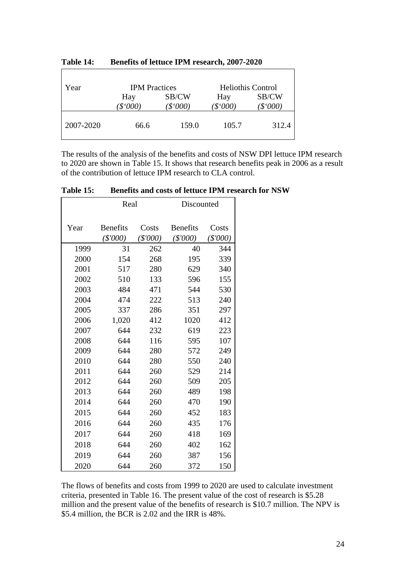| Year      | <b>IPM</b> Practices |                | <b>Heliothis Control</b> |                |
|-----------|----------------------|----------------|--------------------------|----------------|
|           | Hay<br>\$°000        | SB/CW<br>\$000 | Hay<br>\$'000            | SB/CW<br>\$000 |
| 2007-2020 | 66.6                 | 159.0          | 105.7                    | 312.4          |

<span id="page-30-0"></span>**Table 14: Benefits of lettuce IPM research, 2007-2020** 

The results of the analysis of the benefits and costs of NSW DPI lettuce IPM research to 2020 are shown in Table 15. It shows that research benefits peak in 2006 as a result of the contribution of lettuce IPM research to CLA control.

|  | Table 15: |  | <b>Benefits and costs of lettuce IPM research for NSW</b> |  |  |
|--|-----------|--|-----------------------------------------------------------|--|--|
|--|-----------|--|-----------------------------------------------------------|--|--|

|      | Real                          |                     | Discounted                  |                     |
|------|-------------------------------|---------------------|-----------------------------|---------------------|
| Year | <b>Benefits</b><br>$(\$'000)$ | Costs<br>$(\$'000)$ | <b>Benefits</b><br>(\$'000) | Costs<br>$(\$'000)$ |
| 1999 | 31                            | 262                 | 40                          | 344                 |
| 2000 | 154                           | 268                 | 195                         | 339                 |
| 2001 | 517                           | 280                 | 629                         | 340                 |
| 2002 | 510                           | 133                 | 596                         | 155                 |
| 2003 | 484                           | 471                 | 544                         | 530                 |
| 2004 | 474                           | 222                 | 513                         | 240                 |
| 2005 | 337                           | 286                 | 351                         | 297                 |
| 2006 | 1,020                         | 412                 | 1020                        | 412                 |
| 2007 | 644                           | 232                 | 619                         | 223                 |
| 2008 | 644                           | 116                 | 595                         | 107                 |
| 2009 | 644                           | 280                 | 572                         | 249                 |
| 2010 | 644                           | 280                 | 550                         | 240                 |
| 2011 | 644                           | 260                 | 529                         | 214                 |
| 2012 | 644                           | 260                 | 509                         | 205                 |
| 2013 | 644                           | 260                 | 489                         | 198                 |
| 2014 | 644                           | 260                 | 470                         | 190                 |
| 2015 | 644                           | 260                 | 452                         | 183                 |
| 2016 | 644                           | 260                 | 435                         | 176                 |
| 2017 | 644                           | 260                 | 418                         | 169                 |
| 2018 | 644                           | 260                 | 402                         | 162                 |
| 2019 | 644                           | 260                 | 387                         | 156                 |
| 2020 | 644                           | 260                 | 372                         | 150                 |

The flows of benefits and costs from 1999 to 2020 are used to calculate investment criteria, presented in Table 16. The present value of the cost of research is \$5.28 million and the present value of the benefits of research is \$10.7 million. The NPV is \$5.4 million, the BCR is 2.02 and the IRR is 48%.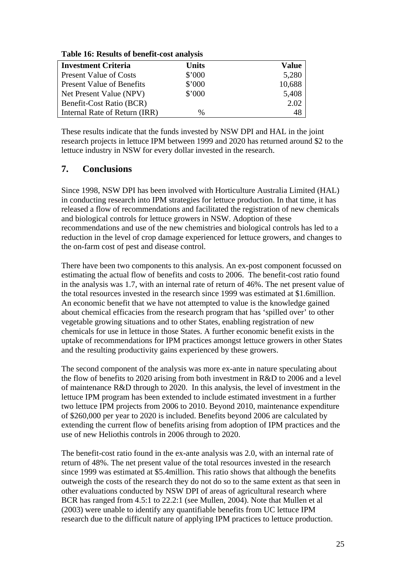| <b>Investment Criteria</b>       | <b>Units</b> | Value  |
|----------------------------------|--------------|--------|
| <b>Present Value of Costs</b>    | \$'000       | 5,280  |
| <b>Present Value of Benefits</b> | \$'000       | 10,688 |
| Net Present Value (NPV)          | \$'000       | 5,408  |
| Benefit-Cost Ratio (BCR)         |              | 2.02   |
| Internal Rate of Return (IRR)    | %            | 48     |

#### <span id="page-31-0"></span>**Table 16: Results of benefit-cost analysis**

These results indicate that the funds invested by NSW DPI and HAL in the joint research projects in lettuce IPM between 1999 and 2020 has returned around \$2 to the lettuce industry in NSW for every dollar invested in the research.

# **7. Conclusions**

Since 1998, NSW DPI has been involved with Horticulture Australia Limited (HAL) in conducting research into IPM strategies for lettuce production. In that time, it has released a flow of recommendations and facilitated the registration of new chemicals and biological controls for lettuce growers in NSW. Adoption of these recommendations and use of the new chemistries and biological controls has led to a reduction in the level of crop damage experienced for lettuce growers, and changes to the on-farm cost of pest and disease control.

There have been two components to this analysis. An ex-post component focussed on estimating the actual flow of benefits and costs to 2006. The benefit-cost ratio found in the analysis was 1.7, with an internal rate of return of 46%. The net present value of the total resources invested in the research since 1999 was estimated at \$1.6million. An economic benefit that we have not attempted to value is the knowledge gained about chemical efficacies from the research program that has 'spilled over' to other vegetable growing situations and to other States, enabling registration of new chemicals for use in lettuce in those States. A further economic benefit exists in the uptake of recommendations for IPM practices amongst lettuce growers in other States and the resulting productivity gains experienced by these growers.

The second component of the analysis was more ex-ante in nature speculating about the flow of benefits to 2020 arising from both investment in R&D to 2006 and a level of maintenance R&D through to 2020. In this analysis, the level of investment in the lettuce IPM program has been extended to include estimated investment in a further two lettuce IPM projects from 2006 to 2010. Beyond 2010, maintenance expenditure of \$260,000 per year to 2020 is included. Benefits beyond 2006 are calculated by extending the current flow of benefits arising from adoption of IPM practices and the use of new Heliothis controls in 2006 through to 2020.

The benefit-cost ratio found in the ex-ante analysis was 2.0, with an internal rate of return of 48%. The net present value of the total resources invested in the research since 1999 was estimated at \$5.4million. This ratio shows that although the benefits outweigh the costs of the research they do not do so to the same extent as that seen in other evaluations conducted by NSW DPI of areas of agricultural research where BCR has ranged from 4.5:1 to 22.2:1 (see Mullen, 2004). Note that Mullen et al (2003) were unable to identify any quantifiable benefits from UC lettuce IPM research due to the difficult nature of applying IPM practices to lettuce production.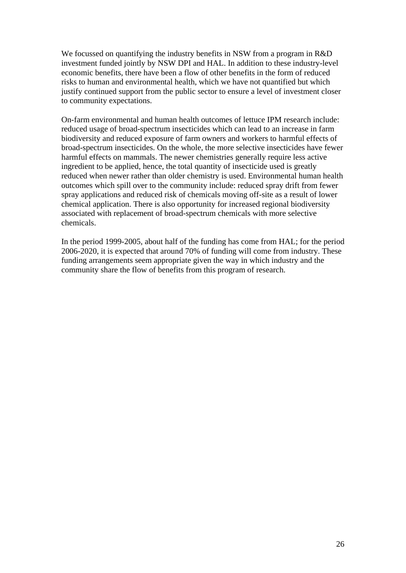We focussed on quantifying the industry benefits in NSW from a program in R&D investment funded jointly by NSW DPI and HAL. In addition to these industry-level economic benefits, there have been a flow of other benefits in the form of reduced risks to human and environmental health, which we have not quantified but which justify continued support from the public sector to ensure a level of investment closer to community expectations.

On-farm environmental and human health outcomes of lettuce IPM research include: reduced usage of broad-spectrum insecticides which can lead to an increase in farm biodiversity and reduced exposure of farm owners and workers to harmful effects of broad-spectrum insecticides. On the whole, the more selective insecticides have fewer harmful effects on mammals. The newer chemistries generally require less active ingredient to be applied, hence, the total quantity of insecticide used is greatly reduced when newer rather than older chemistry is used. Environmental human health outcomes which spill over to the community include: reduced spray drift from fewer spray applications and reduced risk of chemicals moving off-site as a result of lower chemical application. There is also opportunity for increased regional biodiversity associated with replacement of broad-spectrum chemicals with more selective chemicals.

In the period 1999-2005, about half of the funding has come from HAL; for the period 2006-2020, it is expected that around 70% of funding will come from industry. These funding arrangements seem appropriate given the way in which industry and the community share the flow of benefits from this program of research.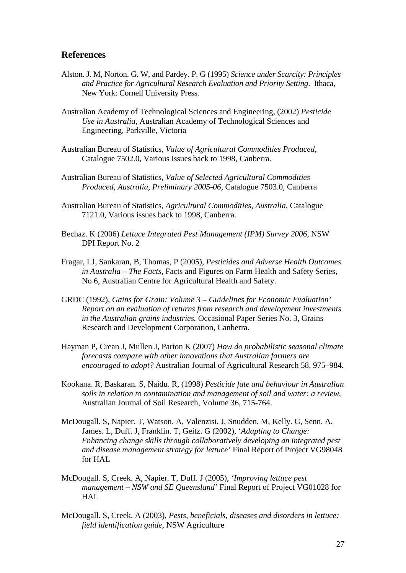#### <span id="page-33-0"></span>**References**

- Alston. J. M, Norton. G. W, and Pardey. P. G (1995) *Science under Scarcity: Principles and Practice for Agricultural Research Evaluation and Priority Setting*. Ithaca, New York: Cornell University Press.
- Australian Academy of Technological Sciences and Engineering, (2002) *Pesticide Use in Australia*, Australian Academy of Technological Sciences and Engineering, Parkville, Victoria
- Australian Bureau of Statistics, *Value of Agricultural Commodities Produced*, Catalogue 7502.0, Various issues back to 1998, Canberra.
- Australian Bureau of Statistics, *Value of Selected Agricultural Commodities Produced, Australia, Preliminary 2005-06*, Catalogue 7503.0, Canberra
- Australian Bureau of Statistics, *Agricultural Commodities, Australia*, Catalogue 7121.0, Various issues back to 1998, Canberra.
- Bechaz. K (2006) *Lettuce Integrated Pest Management (IPM) Survey 2006*, NSW DPI Report No. 2
- Fragar, LJ, Sankaran, B, Thomas, P (2005), *Pesticides and Adverse Health Outcomes in Australia – The Facts*, Facts and Figures on Farm Health and Safety Series, No 6, Australian Centre for Agricultural Health and Safety.
- GRDC (1992), *Gains for Grain: Volume 3 Guidelines for Economic Evaluation' Report on an evaluation of returns from research and development investments in the Australian grains industries.* Occasional Paper Series No. 3, Grains Research and Development Corporation, Canberra.
- Hayman P, Crean J, Mullen J, Parton K (2007) *How do probabilistic seasonal climate forecasts compare with other innovations that Australian farmers are encouraged to adopt?* Australian Journal of Agricultural Research 58, 975–984.
- Kookana. R, Baskaran. S, Naidu. R, (1998) *Pesticide fate and behaviour in Australian soils in relation to contamination and management of soil and water: a review,* Australian Journal of Soil Research, Volume 36, 715-764.
- McDougall. S, Napier. T, Watson. A, Valenzisi. J, Snudden. M, Kelly. G, Senn. A, James. L, Duff. J, Franklin. T, Geitz. G (2002), '*Adapting to Change: Enhancing change skills through collaboratively developing an integrated pest and disease management strategy for lettuce'* Final Report of Project VG98048 for HAL
- McDougall. S, Creek. A, Napier. T, Duff. J (2005), *'Improving lettuce pest management – NSW and SE Queensland'* Final Report of Project VG01028 for **HAL**
- McDougall. S, Creek. A (2003), *Pests, beneficials, diseases and disorders in lettuce: field identification guide*, NSW Agriculture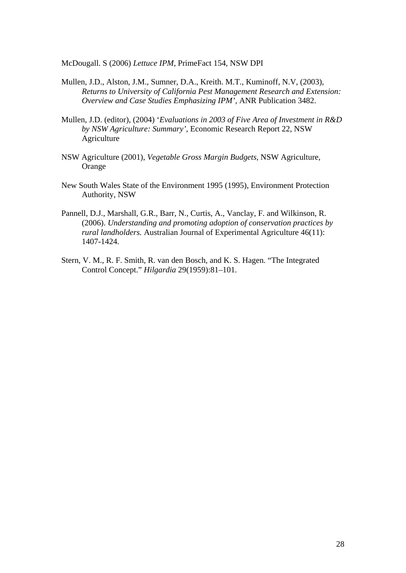McDougall. S (2006) *Lettuce IPM,* PrimeFact 154, NSW DPI

- Mullen, J.D., Alston, J.M., Sumner, D.A., Kreith. M.T., Kuminoff, N.V, (2003), *Returns to University of California Pest Management Research and Extension: Overview and Case Studies Emphasizing IPM',* ANR Publication 3482.
- Mullen, J.D. (editor), (2004) '*Evaluations in 2003 of Five Area of Investment in R&D by NSW Agriculture: Summary',* Economic Research Report 22, NSW Agriculture
- NSW Agriculture (2001), *Vegetable Gross Margin Budgets*, NSW Agriculture, Orange
- New South Wales State of the Environment 1995 (1995), Environment Protection Authority, NSW
- Pannell, D.J., Marshall, G.R., Barr, N., Curtis, A., Vanclay, F. and Wilkinson, R. (2006). *Understanding and promoting adoption of conservation practices by rural landholders.* Australian Journal of Experimental Agriculture 46(11): 1407-1424.
- Stern, V. M., R. F. Smith, R. van den Bosch, and K. S. Hagen. "The Integrated Control Concept." *Hilgardia* 29(1959):81–101.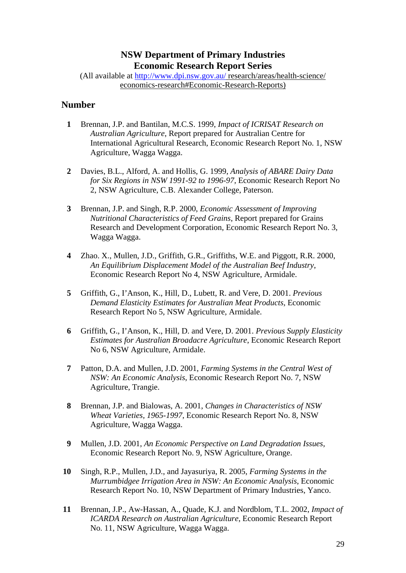# **NSW Department of Primary Industries Economic Research Report Series**

<span id="page-35-0"></span>(All available at <http://www.dpi.nsw.gov.au/>research/areas/health-science/ economics-research#Economic-Research-Reports)

## **Number**

- **1** Brennan, J.P. and Bantilan, M.C.S. 1999, *Impact of ICRISAT Research on Australian Agriculture*, Report prepared for Australian Centre for International Agricultural Research, Economic Research Report No. 1, NSW Agriculture, Wagga Wagga.
- **2** Davies, B.L., Alford, A. and Hollis, G. 1999, *Analysis of ABARE Dairy Data for Six Regions in NSW 1991-92 to 1996-97,* Economic Research Report No 2, NSW Agriculture, C.B. Alexander College, Paterson.
- **3** Brennan, J.P. and Singh, R.P. 2000, *Economic Assessment of Improving Nutritional Characteristics of Feed Grains*, Report prepared for Grains Research and Development Corporation, Economic Research Report No. 3, Wagga Wagga.
- **4** Zhao. X., Mullen, J.D., Griffith, G.R., Griffiths, W.E. and Piggott, R.R. 2000, *An Equilibrium Displacement Model of the Australian Beef Industry*, Economic Research Report No 4, NSW Agriculture, Armidale.
- **5** Griffith, G., I'Anson, K., Hill, D., Lubett, R. and Vere, D. 2001. *Previous Demand Elasticity Estimates for Australian Meat Products*, Economic Research Report No 5, NSW Agriculture, Armidale.
- **6** Griffith, G., I'Anson, K., Hill, D. and Vere, D. 2001. *Previous Supply Elasticity Estimates for Australian Broadacre Agriculture*, Economic Research Report No 6, NSW Agriculture, Armidale.
- **7** Patton, D.A. and Mullen, J.D. 2001, *Farming Systems in the Central West of NSW: An Economic Analysis*, Economic Research Report No. 7, NSW Agriculture, Trangie.
- **8** Brennan, J.P. and Bialowas, A. 2001, *Changes in Characteristics of NSW Wheat Varieties, 1965-1997*, Economic Research Report No. 8, NSW Agriculture, Wagga Wagga.
- **9** Mullen, J.D. 2001, *An Economic Perspective on Land Degradation Issues*, Economic Research Report No. 9, NSW Agriculture, Orange.
- **10** Singh, R.P., Mullen, J.D., and Jayasuriya, R. 2005, *Farming Systems in the Murrumbidgee Irrigation Area in NSW: An Economic Analysis*, Economic Research Report No. 10, NSW Department of Primary Industries, Yanco.
- **11** Brennan, J.P., Aw-Hassan, A., Quade, K.J. and Nordblom, T.L. 2002, *Impact of ICARDA Research on Australian Agriculture*, Economic Research Report No. 11, NSW Agriculture, Wagga Wagga.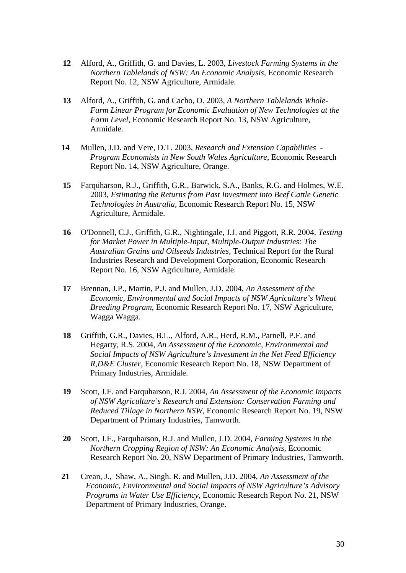- **12** Alford, A., Griffith, G. and Davies, L. 2003, *Livestock Farming Systems in the Northern Tablelands of NSW: An Economic Analysis*, Economic Research Report No. 12, NSW Agriculture, Armidale.
- **13** Alford, A., Griffith, G. and Cacho, O. 2003, *A Northern Tablelands Whole-Farm Linear Program for Economic Evaluation of New Technologies at the Farm Level*, Economic Research Report No. 13, NSW Agriculture, Armidale.
- **14** Mullen, J.D. and Vere, D.T. 2003, *Research and Extension Capabilities Program Economists in New South Wales Agriculture*, Economic Research Report No. 14, NSW Agriculture, Orange.
- **15** Farquharson, R.J., Griffith, G.R., Barwick, S.A., Banks, R.G. and Holmes, W.E. 2003, *Estimating the Returns from Past Investment into Beef Cattle Genetic Technologies in Australia,* Economic Research Report No. 15, NSW Agriculture, Armidale.
- **16** O'Donnell, C.J., Griffith, G.R., Nightingale, J.J. and Piggott, R.R. 2004, *Testing for Market Power in Multiple-Input, Multiple-Output Industries: The Australian Grains and Oilseeds Industries*, Technical Report for the Rural Industries Research and Development Corporation, Economic Research Report No. 16, NSW Agriculture, Armidale.
- **17** Brennan, J.P., Martin, P.J. and Mullen, J.D. 2004, *An Assessment of the Economic, Environmental and Social Impacts of NSW Agriculture's Wheat Breeding Program*, Economic Research Report No. 17, NSW Agriculture, Wagga Wagga.
- **18** Griffith, G.R., Davies, B.L., Alford, A.R., Herd, R.M., Parnell, P.F. and Hegarty, R.S. 2004, *An Assessment of the Economic, Environmental and Social Impacts of NSW Agriculture's Investment in the Net Feed Efficiency R,D&E Cluster*, Economic Research Report No. 18, NSW Department of Primary Industries, Armidale.
- **19** Scott, J.F. and Farquharson, R.J. 2004, *An Assessment of the Economic Impacts of NSW Agriculture's Research and Extension: Conservation Farming and Reduced Tillage in Northern NSW*, Economic Research Report No. 19, NSW Department of Primary Industries, Tamworth.
- **20** Scott, J.F., Farquharson, R.J. and Mullen, J.D. 2004, *Farming Systems in the Northern Cropping Region of NSW: An Economic Analysis*, Economic Research Report No. 20, NSW Department of Primary Industries, Tamworth.
- **21** Crean, J., Shaw, A., Singh. R. and Mullen, J.D. 2004, *An Assessment of the Economic, Environmental and Social Impacts of NSW Agriculture's Advisory Programs in Water Use Efficiency*, Economic Research Report No. 21, NSW Department of Primary Industries, Orange.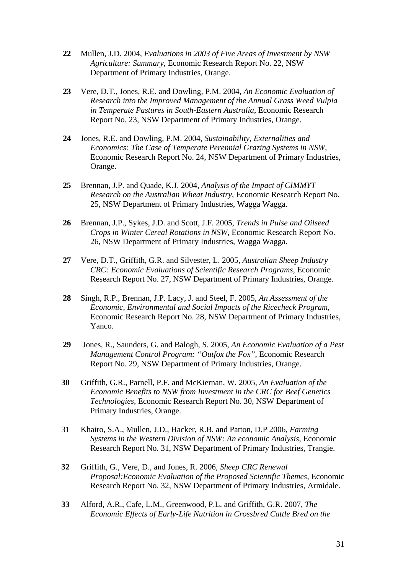- **22** Mullen, J.D. 2004, *Evaluations in 2003 of Five Areas of Investment by NSW Agriculture: Summary*, Economic Research Report No. 22, NSW Department of Primary Industries, Orange.
- **23** Vere, D.T., Jones, R.E. and Dowling, P.M. 2004, *An Economic Evaluation of Research into the Improved Management of the Annual Grass Weed Vulpia in Temperate Pastures in South-Eastern Australia*, Economic Research Report No. 23, NSW Department of Primary Industries, Orange.
- **24** Jones, R.E. and Dowling, P.M. 2004, *Sustainability, Externalities and Economics: The Case of Temperate Perennial Grazing Systems in NSW*, Economic Research Report No. 24, NSW Department of Primary Industries, Orange.
- **25** Brennan, J.P. and Quade, K.J. 2004, *Analysis of the Impact of CIMMYT Research on the Australian Wheat Industry*, Economic Research Report No. 25, NSW Department of Primary Industries, Wagga Wagga.
- **26** Brennan, J.P., Sykes, J.D. and Scott, J.F. 2005, *Trends in Pulse and Oilseed Crops in Winter Cereal Rotations in NSW,* Economic Research Report No. 26, NSW Department of Primary Industries, Wagga Wagga.
- **27** Vere, D.T., Griffith, G.R. and Silvester, L. 2005, *Australian Sheep Industry CRC: Economic Evaluations of Scientific Research Programs*, Economic Research Report No. 27, NSW Department of Primary Industries, Orange.
- **28** Singh, R.P., Brennan, J.P. Lacy, J. and Steel, F. 2005, *An Assessment of the Economic, Environmental and Social Impacts of the Ricecheck Program*, Economic Research Report No. 28, NSW Department of Primary Industries, Yanco.
- **29** Jones, R., Saunders, G. and Balogh, S. 2005, *An Economic Evaluation of a Pest Management Control Program: "Outfox the Fox"*, Economic Research Report No. 29, NSW Department of Primary Industries, Orange.
- **30** Griffith, G.R., Parnell, P.F. and McKiernan, W. 2005, *An Evaluation of the Economic Benefits to NSW from Investment in the CRC for Beef Genetics Technologies,* Economic Research Report No. 30, NSW Department of Primary Industries, Orange.
- 31 Khairo, S.A., Mullen, J.D., Hacker, R.B. and Patton, D.P 2006, *Farming Systems in the Western Division of NSW: An economic Analysis*, Economic Research Report No. 31, NSW Department of Primary Industries, Trangie.
- **32** Griffith, G., Vere, D., and Jones, R. 2006, *Sheep CRC Renewal Proposal:Economic Evaluation of the Proposed Scientific Themes*, Economic Research Report No. 32, NSW Department of Primary Industries, Armidale.
- **33** Alford, A.R., Cafe, L.M., Greenwood, P.L. and Griffith, G.R. 2007, *The Economic Effects of Early-Life Nutrition in Crossbred Cattle Bred on the*